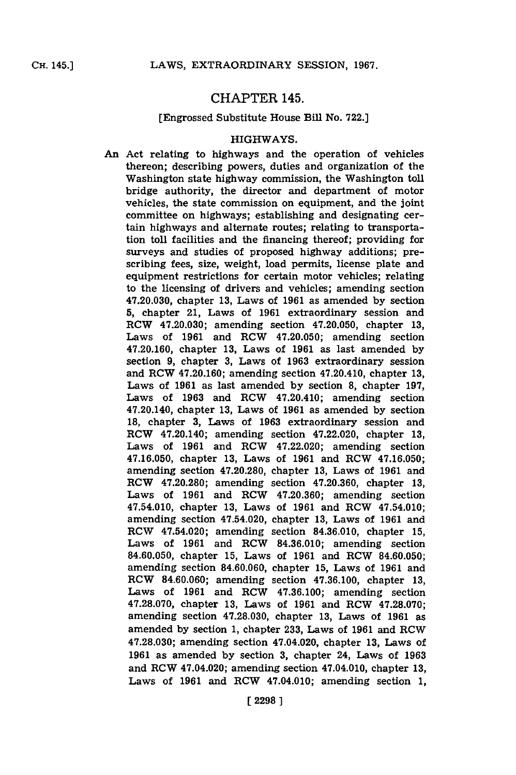## CHAPTER 145.

#### [Engrossed Substitute House Bill No. **722.]**

#### HIGHWAYS.

*An* Act relating to highways and the operation of vehicles thereon; describing powers, duties and organization of the Washington state highway commission, the Washington toll bridge authority, the director and department of motor vehicles, the state commission on equipment, and the joint committee on highways; establishing and designating certain highways and alternate routes; relating to transportation toll facilities and the financing thereof; providing for surveys and studies of proposed highway additions; prescribing fees, size, weight, load permits, license plate and equipment restrictions for certain motor vehicles; relating to the licensing of drivers and vehicles; amending section 47.20.030, chapter **13,** Laws of **1961** as amended **by** section **5,** chapter 21, Laws of **1961** extraordinary session and RCW 47.20.030; amending section 47.20.050, chapter **13,** Laws of **1961** and ROW 47.20.050; amending section 47.20.160, chapter **13,** Laws of **1961** as last amended **by** section **9,** chapter **3,** Laws of **1963** extraordinary session and RCW 47.20.160; amending section 47.20.410, chapter **13,** Laws of **1961** as last amended **by** section **8,** chapter **197,** Laws of **1963** and RCW 47.20.410; amending section 47.20.140, chapter **13,** Laws of **1961** as amended **by** section **18,** chapter **3,** Laws of **1963** extraordinary session and RCW 47.20.140; amending section 47.22.020, chapter **13,** Laws of **1961** and ROW 47.22.020; amending section **47.16.050,** chapter **13,** Laws of **1961** and RCW **47.16.050;** amending section **47.20.280,** chapter **13,** Laws of **1961** and RO!W 47.20.280; amending section **47.20.360,** chapter **13,** Laws of **1961** and RCW **47.20.360;** amending section 47.54.010, chapter **13,** Laws of **1961** and RCW 47.54.010; amending section 47.54.020, chapter **13,** Laws of **1961** and ROW 47.54.020; amending section **84.36.010,** chapter **15,** Laws of **1961** and ROW **84.36.010;** amending section **84.60.050,** chapter **15,** Laws of **1961** and RCW **84.60.050;** amending section **84.60.060,** chapter **15,** Laws of **1961** and ROW **84.60.060;** amending section **47.36.100,** chapter **13,** Laws of **1961** and ROW **47.36.100;** amending section **47.28.070,** chapter **13,** Laws of **1961** and ROW **47.28.070;** amending section **47.28.030,** chapter **13,** Laws of **1961** as amended **by** section **1,** chapter **233,** Laws of **1961** and ROW **47.28.030;** amending section 47.04.020, chapter **13,** Laws of **1961** as amended **by** section **3,** chapter 24, Laws of **1963** and RO!W 47.04.020; amending section 47.04.010, chapter **13,** Laws of **1961** and ROW 47.04.010; amending section **1,**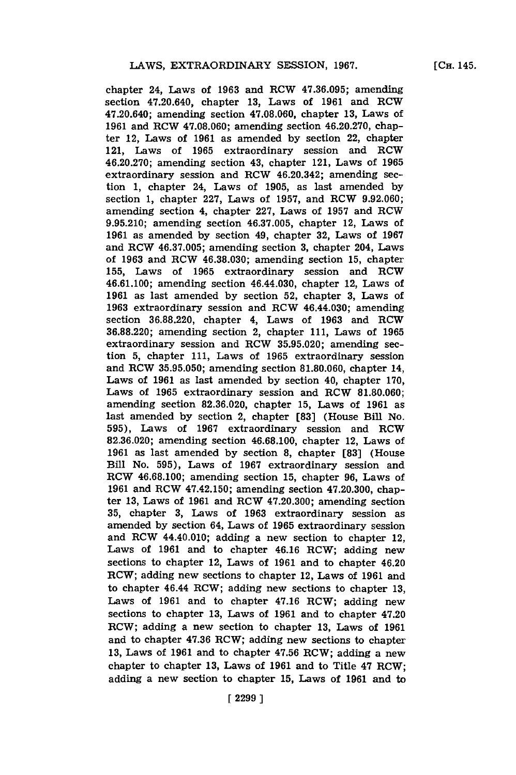chapter 24, Laws of **1963** and ROW **47.36.095;** amending section 47.20.640, chapter **13,** Laws of **1961** and ROW 47.20.640; amending section **47.08.060,** chapter **13,** Laws of **1961** and RCW **47.08.060;** amending section 46.20.270, chapter 12, Laws of **1961** as amended **by** section 22, chapter 121, Laws of **1965** extraordinary session and RCW 46.20.270; amending section 43, chapter 121, Laws of **1965** extraordinary session and RCW 46.20.342; amending section 1, chapter 24, Laws of **1905,** as last amended **by** section **1,** chapter **227,** Laws of **1957,** and ROW **9.92.060;** amending section 4, chapter **227,** Laws of **1957** and ROW **9.95.210;** amending section **46.37.005,** chapter 12, Laws of **1961** as amended **by** section 49, chapter **32,** Laws of **1967** and ROW **46.37.005;** amending section **3,** chapter 204, Laws of **1963** and ROW **46.38.030;** amending section **15,** chapter **155,** Laws of **1965** extraordinary session and ROW 46.61.100; amending section 46.44.030, chapter 12, Laws of **1961** as last amended **by** section **52,** chapter **3,** Laws of **1963** extraordinary session and ROW 46.44.030; amending section **36.88.220,** chapter 4, Laws of **1963** and ROW **36.88.220;** amending section 2, chapter **111,** Laws of **1965** extraordinary session and ROW **35.95.020;** amending section **5,** chapter **111,** Laws of **1965** extraordinary session and ROW **35.95.050;** amending section 81.80.060, chapter 14, Laws of **1961** as last amended **by** section 40, chapter **170,** Laws of 1965 extraordinary session and RCW 81.80.060; amending section **82.36.020,** chapter **15,** Laws of **1961** as last amended **by** section 2, chapter **[83]** (House Bill No. **595),** Laws of **1967** extraordinary session and ROW **82.36.020;** amending section **46.68.100,** chapter 12, Laws of **1961** as last amended **by** section **8,** chapter **[83]** (House Bill No. **595),** Laws of **1967** extraordinary session and ROW **46.68.100;** amending section **15,** chapter **96,** Laws of **1961** and ROW 47.42.150; amending section 47.20.300, chapter **13,** Laws of **1961** and ROW 47.20.300; amending section **35,** chapter **3,** Laws of **1963** extraordinary session as amended **by** section 64, Laws of **1965** extraordinary session and ROW 44.40.010; adding a new section to chapter 12. Laws of **1961** and to chapter 46.16 ROW; adding new sections to chapter 12, Laws of **1961** and to chapter 46.20 ROW; adding new sections to chapter 12, Laws of **1961** and to chapter 46.44 ROW; adding new sections to chapter **13,** Laws of **1961** and to chapter 47.16 ROW; adding new sections to chapter **13,** Laws of **1961** and to chapter 47.20 ROW; adding a new section to chapter **13,** Laws of **1961** and to chapter **47.36** ROW; adding new sections to chapter **13,** Laws of **1961** and to chapter **47.56** ROW; adding a new chapter to chapter **13,** Laws of **1961** and to Title 47 ROW; adding a new section to chapter **15,** Laws of **1961** and to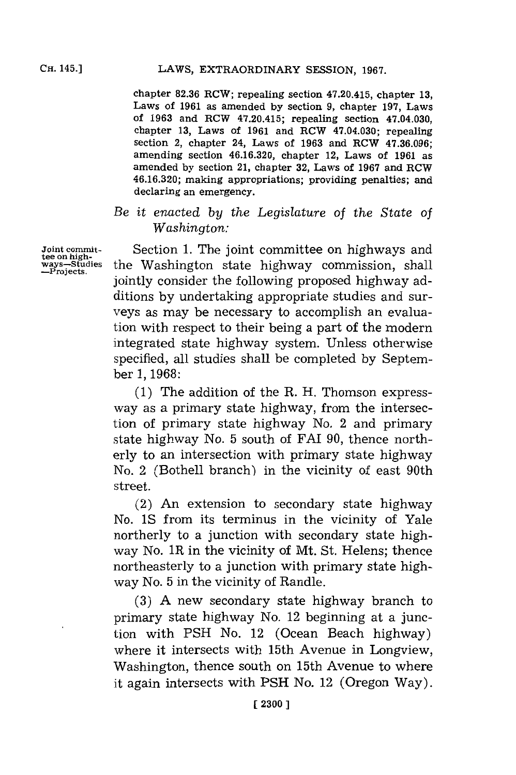chapter **82.36** ROW; repealing section 47.20.415, chapter **13,** Laws of **1961** as amended **by** section **9,** chapter **197,** Laws of **1963** and ROW 47.20.415; repealing section 47.04.030, chapter **13,** Laws of **1961** and ROW 47.04.030; repealing section 2, chapter 24, Laws of **1963** and ROW **47.36.096;** amending section **46.16.320,** chapter 12, Laws of **1961** as amended **by** section 21, chapter **32,** Laws of **1967** and ROW **46.16.320;** making appropriations; providing penalties; and declaring an emergency.

*Be it ernacted by the Legislature of the State of Washington:*

Section **1.** The joint committee on highways and the Washington state highway commission, shall jointly consider the following proposed highway additions **by** undertaking appropriate studies and surveys as may be necessary to accomplish an evaluation with respect to their being a part of the modern integrated state highway system. Unless otherwise specified, all studies shall be completed **by** September **1, 1968:**

**(1)** The addition of the R. H. Thomson expressway as a primary state highway, from the intersection of primary state highway No. 2 and primary state highway No. **5** south of FAT **90,** thence northerly to an intersection with primary state highway No. 2 (Bothell branch) in the vicinity of east 90th street.

(2) An extension to secondary state highway No. **1S** from its terminus in the vicinity of Yale northerly to a junction with secondary state highway No. 1R in the vicinity of Mt. St. Helens; thence northeasterly to a junction with primary state highway No. **5** in the vicinity of Randle.

**(3) A** new secondary state highway branch to primary state highway No. 12 beginning at a junction with **PSH** No. 12 (Ocean Beach highway) where it intersects with 15th Avenue in Longview, Washington, thence south on 15th Avenue to where it again intersects with **PSH** No. 12 (Oregon Way).

**Joint committee on high-**<br> **ways—Studie**<br>—Projects.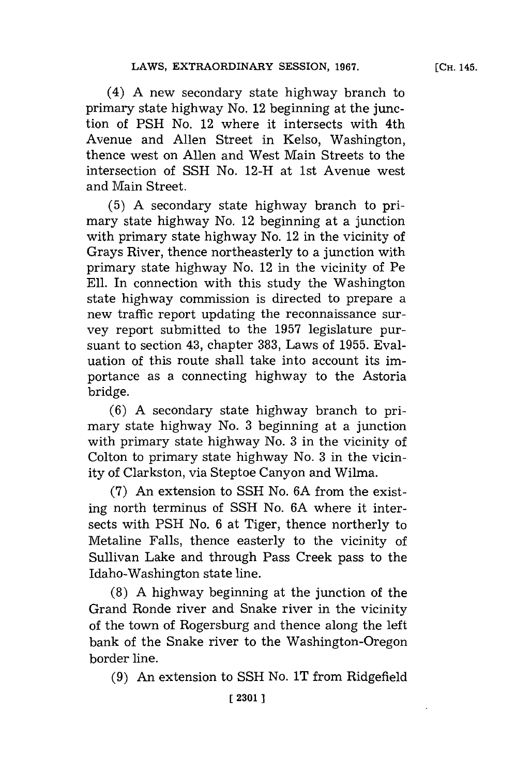(4) **A** new secondary state highway branch to primary state highway No. 12 beginning at the junction of **PSH** No. 12 where it intersects with 4th Avenue and Allen Street in Kelso, Washington, thence west on Allen and West Main Streets to the intersection of **SSH** No. 12-H at 1st Avenue west and Main Street.

**(5) A** secondary state highway branch to primary state highway No. 12 beginning at a junction with primary state highway No. 12 in the vicinity of Grays River, thence northeasterly to a junction with primary state highway No. 12 in the vicinity of Pe **Eli.** In connection with this study the Washington state highway commission is directed to prepare a new traffic report updating the reconnaissance survey report submitted to the **1957** legislature pursuant to section 43, chapter **383,** Laws of **1955.** Evaluation of this route shall take into account its importance as a connecting highway to the Astoria bridge.

**(6) A** secondary state highway branch to primary state highway No. **3** beginning at a junction with primary state highway No. **3** in the vicinity of Colton to primary state highway No. **3** in the vicinity of Clarkston, via Steptoe Canyon and Wilma.

**(7)** An extension to **SSH** No. **6A** from the existing north terminus of **SSH** No. **6A** where it intersects with **PSH** No. **6** at Tiger, thence northerly to Metaline Falls, thence easterly to the vicinity of Sullivan Lake and through Pass Creek pass to the Idaho-Washington state line.

**(8) A** highway beginning at the junction of the Grand Ronde river and Snake river in the vicinity of the town of Rogersburg and thence along the left bank of the Snake river to the Washington-Oregon border line.

**(9)** An extension to **SSH** No. 1T from Ridgefield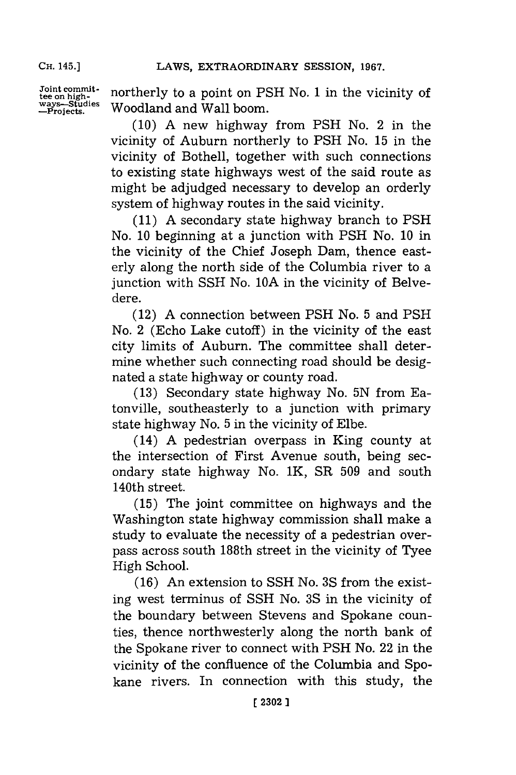Joint commit-<br>tee on high-<br>ways—Studies Woodland and Wall boom.<br>—Projects. Woodland and Wall boom. Woodland and Wall boom.

> **(10) A** new highway from **PSH** No. 2 in the vicinity of Auburn northerly to **PSH** No. **15** in the vicinity of Bothell, together with such connections to existing state highways west of the said route as might be adjudged necessary to develop an orderly system of highway routes in the said vicinity.

> **(11) A** secondary state highway branch to **PSH** No. **10** beginning at a junction with **PSH** No. **10** in the vicinity of the Chief Joseph Dam, thence easterly along the north side of the Columbia river to a junction with **SSH** No. **10A** in the vicinity of Belvedere.

> (12) **A** connection between **PSH** No. **5** and **PSH** No. 2 (Echo Lake cutoff) in the vicinity of the east city limits of Auburn. The committee shall determine whether such connecting road should be designated a state highway or county road.

> **(13)** Secondary state highway No. **5N** from Eatonville, southeasterly to a junction with primary state highway No. **5** in the vicinity of Elbe.

> (14) **A** pedestrian overpass in King county at the intersection of First Avenue south, being secondary state highway No. 1K, SR **509** and south 140th street.

> **(15)** The joint committee on highways and the Washington state highway commission shall make a study to evaluate the necessity of a pedestrian overpass across south 188th street in the vicinity of Tyee High School.

> **(16)** An extension to **SSH** No. **3S** from the existing west terminus of **SSH** No. **3S** in the vicinity of the boundary between Stevens and Spokane counties, thence northwesterly along the north bank of the Spokane river to connect with **PSH** No. 22 in the vicinity of the confluence of the Columbia and Spokane rivers. In connection with this study, the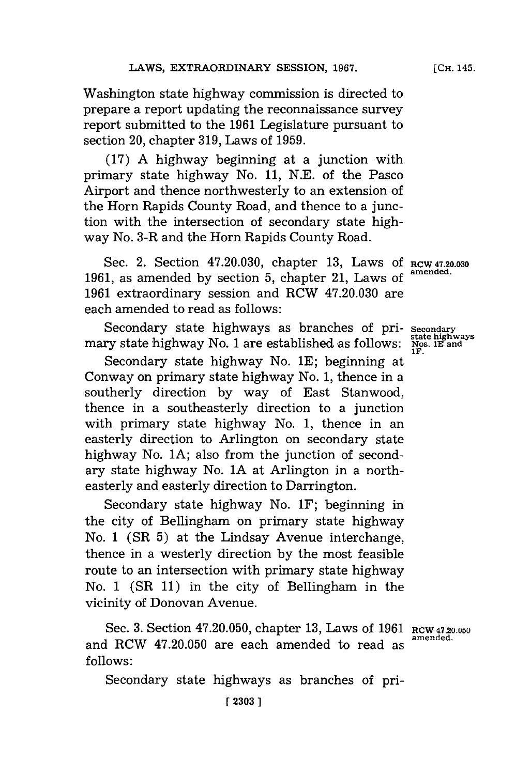Washington state highway commission is directed to prepare a report updating the reconnaissance survey report submitted to the **1961** Legislature pursuant to section 20, chapter **319,** Laws of **1959.**

**(17) A** highway beginning at a junction with primary state highway No. **11, N.E.** of the Pasco Airport and thence northwesterly to an extension of the Horn Rapids County Road, and thence to a junction with the intersection of secondary state highway No. 3-R and the Horn Rapids County Road.

Sec. 2. Section 47.20.030, chapter 13, Laws of RCW 47.20.030 1961, as amended by section 5, chapter 21, Laws of **1961** extraordinary session and RCW 47.20.030 are each amended to read as follows:

Secondary state highways as branches of primary state highway No. 1 are established as follows:

Secondary state highway No. **1E;** beginning at Conway on primary state highway No. **1,** thence in a southerly direction **by** way of East Stanwood, thence in a southeasterly direction to a junction with primary state highway No. **1,** thence in an easterly direction to Arlington on secondary state highway No. **JA;** also from the junction of secondary state highway No. **1A** at Arlington in a northeasterly and easterly direction to Darrington.

Secondary state highway No. 1F; beginning in the city of Bellingham on primary state highway *No.* **1** (SR **5)** at the Lindsay Avenue interchange, thence in a westerly direction **by** the most feasible route to an intersection with primary state highway No. **1** (SR **11)** in the city of Bellingham in the vicinity of Donovan Avenue.

Sec. 3. Section 47.20.050, chapter 13, Laws of 1961 RCW 47.20.050 and RCW 47.20.050 are each amended to read as **follows:**

Secondary state highways as branches of pri-

**Secondary state highways Nos. lE and IF.**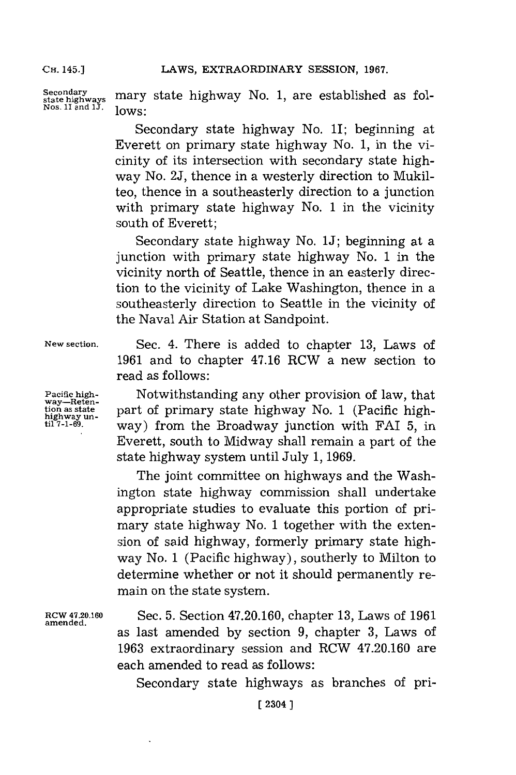Secondary<br>state highways **mary** state highway No. 1, are established as folstate highways **mary**<br>Nos. 1I and 1J. **lows**:

> Secondary state highway No. 1I; beginning at Everett on primary state highway No. **1,** in the vicinity of its intersection with secondary state highway No. **2J,** thence in a westerly direction to Mukilteo, thence in a southeasterly direction to a junction with primary state highway No. **1** in the vicinity south of Everett;

> Secondary state highway No. **1J;** beginning at a junction with primary state highway No. **1** in the vicinity north of Seattle, thence in an easterly direction to the vicinity of Lake Washington, thence in a southeasterly direction to Seattle in the vicinity of the Naval Air Station at Sandpoint.

**New section.** Sec. 4. There is added to chapter **13,** Laws of **1961** and to chapter 47.16 RCW a new section to read as follows:

**Pacific high- Mother and Mother provision of law, that tion as state part of primary state highway No. 1** (Pacific high-<br> **tion**  $\lim_{n \to \infty}$  **tion the Properties with**  $\text{FAI}$  5 in way) from the Broadway junction with FAI 5, in Everett, south to Midway shall remain a part of the state highway system until July **1, 1969.**

> The joint committee on highways and the Washington state highway commission shall undertake appropriate studies to evaluate this portion of primary state highway No. **1** together with the extension of said highway, formerly primary state highway No. **1** (Pacific highway), southerly to Milton to determine whether or not it should permanently remain on the state system.

RCW 47.20.160 Sec. **5.** Section 47.20.160, chapter **13,** Laws of **<sup>1961</sup> amended.** as last amended **by** section **9,** chapter **3,** Laws of **1963** extraordinary session and RCW 47.20.160 are each amended to read as follows:

Secondary state highways as branches of pri-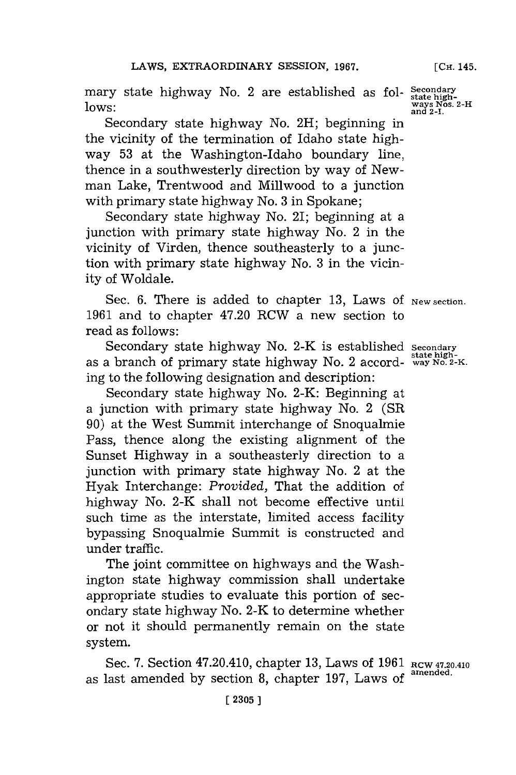mary state highway No. 2 are established as fol- Secondary<br>lows: state high-<br>Nows: ways Nos. 2 lows:

Secondary state highway No. 2H; beginning in the vicinity of the termination of Idaho state highway **53** at the Washington-Idaho boundary line, thence in a southwesterly direction **by** way of Newman Lake, Trentwood and Millwood to a junction with primary state highway No. **3** in Spokane;

Secondary state highway No. 21; beginning at a junction with primary state highway No. 2 in the vicinity of Virden, thence southeasterly to a junction with primary state highway No. **3** in the vicinity of Woldale.

Sec. 6. There is added to chapter 13, Laws of New section. **1961** and to chapter 47.20 RCW a new section to read as follows:

Secondary state highway No. 2-K is established **secondary state high -** as a branch of primary state highway No. 2 accord- **way No. 2-K.** ing to the following designation and description:

Secondary state highway No. 2-K: Beginning at a junction with primary state highway No. 2 (SR **90)** at the West Summit interchange of Snoqualmie Pass, thence along the existing alignment of the Sunset Highway in a southeasterly direction to a junction with primary state highway No. 2 at the Hyak Interchange: *Provided,* That the addition of highway No. 2-K shall not become effective until such time as the interstate, limited access facility bypassing Snoqualmie Summit is constructed and under traffic.

The joint committee on highways and the Washington state highway commission shall undertake appropriate studies to evaluate this portion of secondary state highway No. 2-K to determine whether or not it should permanently remain on the state system.

Sec. 7. Section 47.20.410, chapter 13, Laws of 1961 RCW 47.20.410 as last amended by section 8, chapter 197, Laws of

ways Nos. 2-H<br>and 2-I.

**[CH.** 145.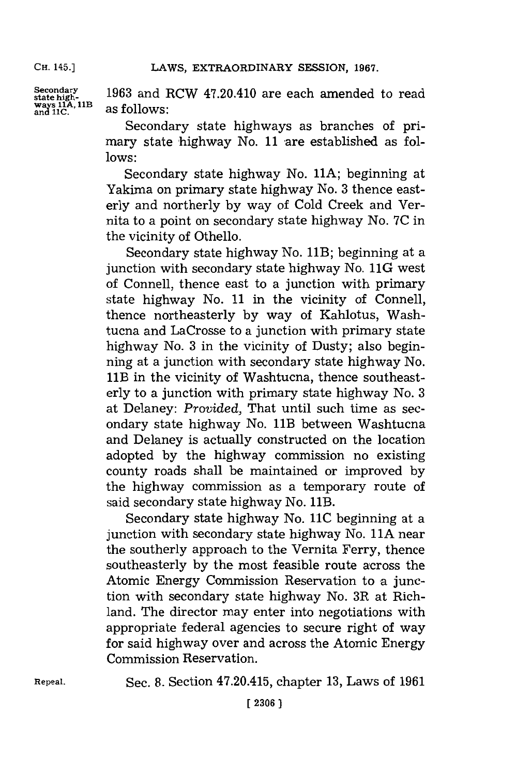LAWS, EXTRAORDINARY SESSION, 1967.

ways 11A, 11B as follows

**steoniahy 1963** and RCW 47.20.410 are each amended to read

Secondary state highways as branches of primary state highway No. 11 are established as fol**lows:**

Secondary state highway No. **11A;** beginning at Yakima on primary state highway No. **3** thence easterly and northerly **by** way of Cold Creek and Vernita to a point on secondary state highway No. **7C** in the vicinity of Othello.

Secondary state highway No. 11B; beginning at a junction with secondary state highway No. 11G west of Connell, thence east to a junction with primary state highway No. **11** in the vicinity of Connell, thence northeasterly **by** way of Kahlotus, Washtucna and LaCrosse to a junction with primary state highway No. **3** in the vicinity of Dusty; also beginning at a junction with secondary state highway No. 11B in the vicinity of Washtucna, thence southeasterly to a junction with primary state highway No. **3** at Delaney: *Provided,* That until such time as secondary state highway No. 11B between Washtucna and Delaney is actually constructed on the location adopted **by** the highway commission no existing county roads shall be maintained or improved **by** the highway commission as a temporary route of said secondary state highway No. 11B.

Secondary state highway No. **11C** beginning at a junction with secondary state highway No. 11A near the southerly approach to the Vernita Ferry, thence southeasterly **by** the most feasible route across the Atomic Energy Commission Reservation to a junction with secondary state highway No. 3R at Richland. The director may enter into negotiations with appropriate federal agencies to secure right of way for said highway over and across the Atomic Energy Commission Reservation.

**Repeal.** Sec. **8.** Section 47.20.415, chapter **13,** Laws of **1961**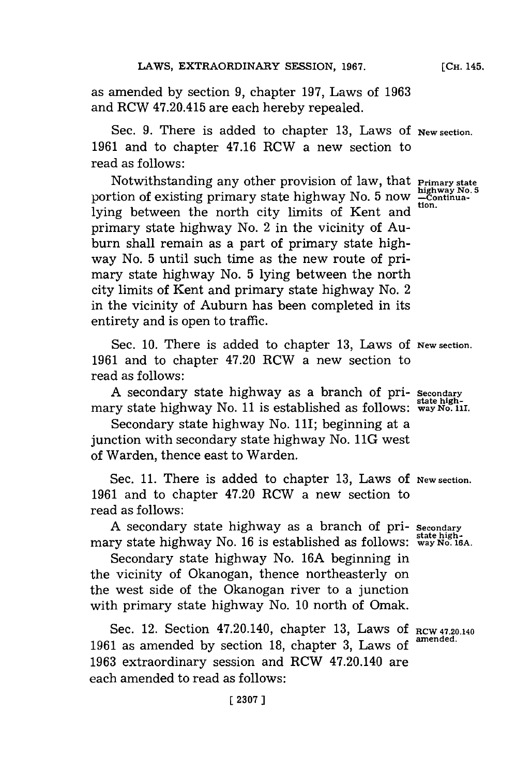as amended **by** section **9,** chapter **197,** Laws of **1963** and RCW 47.20.415 are each hereby repealed.

Sec. **9.** There is added to chapter **13,** Laws **Of New section. 1961** and to chapter 47.16 RCW a new section to read as follows:

Notwithstanding any other provision of law, that **Primary state**<br>tion of existing primary state highway No. 5 now experiments portion of existing primary state highway No. 5 now  $\frac{\text{high}}{\text{c}{\text{Cov}}}$ lying between the north city limits of Kent and primary state highway No. 2 in the vicinity of Auburn shall remain as a part of primary state highway No. **5** until such time as the new route of primary state highway No. **5** lying between the north city limits of Kent and primary state highway No. 2 in the vicinity of Auburn has been completed in its entirety and is open to traffic.

Sec. **10.** There is added to chapter **13,** Laws **Of New section. 1961** and to chapter 47.20 RCW a new section to read as follows:

**A** secondary state highway as a branch of pri- **Secondary state high -** mary state highway No. **11** is established as follows: **way No. 1I.**

Secondary state highway No. 11I; beginning at a junction with secondary state highway No. 11G west of Warden, thence east to Warden.

Sec. **11.** There is added to chapter **13,** Laws **Of New section. 1961** and to chapter 47.20 RCW a new section to read as follows:

**A** secondary state highway as a branch of pri- **Secondary state high-**mary state highway No. **16** is established as follows: **way No. 16A.**

Secondary state highway No. **16A** beginning in the vicinity of Okanogan, thence northeasterly on the west side of the Okanogan river to a junction with primary state highway No. **10** north of Omak.

Sec. 12. Section 47.20.140, chapter **13,** Laws **Of** RCW 47.20.140 **1961** as amended **by** section **18,** chapter **3,** Laws of **amiended. 1963** extraordinary session and RCW 47.20.140 are each amended to read as follows: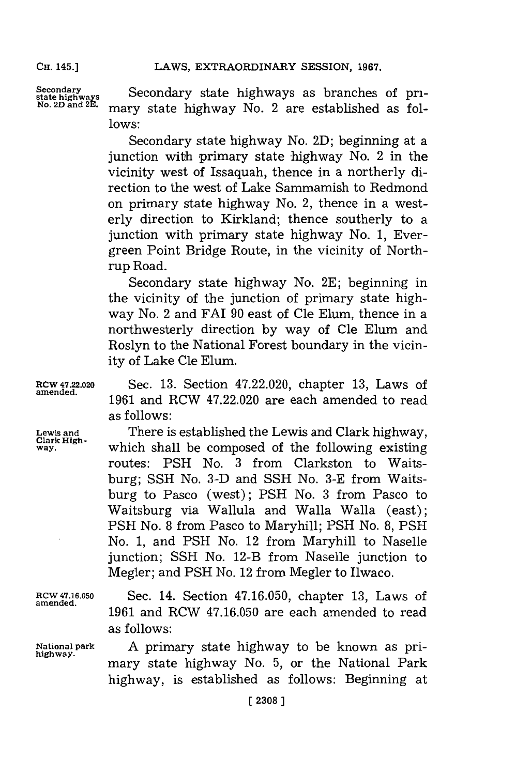Secondary **Secondary state highways as branches of pri-**<br>
<sup>No. 2D and <sup>2E.</sup> mary state highway No. 2 are established as fol-</sup> **lows:**

> Secondary state highway No. **2D);** beginning at a junction with primary state highway No.  $2$  in the vicinity west of Issaquah, thence in a northerly direction to the west of Lake Sammamish to Redmond on primary state highway No. 2, thence in a westerly direction to Kirkland; thence southerly to a junction with primary state highway No. **1,** Evergreen Point Bridge Route, in the vicinity of Northrup Road.

> Secondary state highway No. **2E;** beginning in the vicinity of the junction of primary state highway No. 2 and FAT **90** east of Cle Elum, thence in a northwesterly direction **by** way of Cle Elum and Roslyn to the National Forest boundary in the vicinity of Lake Cle Elum.

**RCW 47.22.020** Sec. **13.** Section 47.22.020, chapter **13,** Laws of 1961 and RCW 47.22.020 are each amended to read as follows:

**Lewis and** There is established the Lewis and Clark highway, **Clark High**which shall be composed of the following existing routes: **PSH** No. **3** from Clarkston to Waitsburg; **SSH** No. **3-D** and **SSH** No. **3-E** from Waitsburg to Pasco (west); **PSH** No. **3** from Pasco to Waitsburg via Wallula and Walla Walla (east); **PSH** No. **8** from Pasco to Maryhill; **PSH** No. **8, PSH** No. **1,** and **PSH** No. 12 from Maryhill to Naselle junction; **SSH** No. 12-B from Naselle junction to Megler; and **PSH** No. 12 from Megler to Ilwaco.

**ROW 47.16.050** Sec. 14. Section **47.16.050,** chapter **13,** Laws of **amended. 1961** and RCW **47.16.050** are each amended to read as follows:

**National park A** primary state highway to be known as pri- **highway.** mary state highway No. **5,** or the National Park highway, is established as follows: Beginning at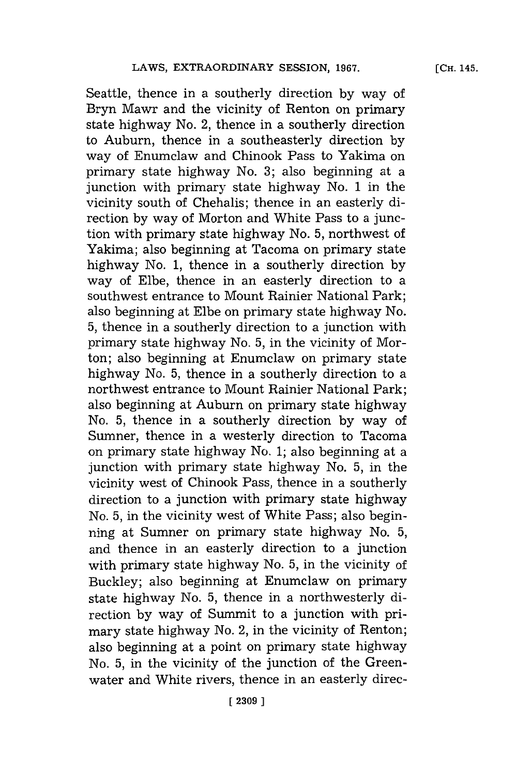Seattle, thence in a southerly direction **by** way of Bryn Mawr and the vicinity of Renton on primary state highway No. 2, thence in a southerly direction to Auburn, thence in a southeasterly direction **by** way of Enumclaw and Chinook Pass to Yakima on primary state highway No. **3;** also beginning at a junction with primary state highway No. **1** in the vicinity south of Chehalis; thence in an easterly direction **by** way of Morton and White Pass to a junction with primary state highway No. **5,** northwest of Yakima; also beginning at Tacoma on primary state highway No. **1,** thence in a southerly direction **by** way of Elbe, thence in an easterly direction to a southwest entrance to Mount Rainier National Park; also beginning at Elbe on primary state highway No. **5,** thence in a southerly direction to a junction with primary state highway No. **5,** in the vicinity of Morton; also beginning at Enumclaw on primary state highway No. **5,** thence in a southerly direction to a northwest entrance to Mount Rainier National Park; also beginning at Auburn on primary state highway No. **5,** thence in a southerly direction **by** way of Sumner, thence in a westerly direction to Tacoma on primary state highway No. **1;** also beginning at a junction with primary state highway No. **5,** in the vicinity west of Chinook Pass, thence in a southerly direction to a junction with primary state highway No. **5,** in the vicinity west of White Pass; also beginning at Sumner on primary state highway No. **5,** and thence in an easterly direction to a junction with primary state highway No. **5,** in the vicinity of Buckley; also beginning at Enumclaw on primary state highway No. **5,** thence in a northwesterly direction **by** way of Summit to a junction with primary state highway No. 2, in the vicinity of Renton; also beginning at a point on primary state highway No. **5,** in the vicinity of the junction of the Greenwater and White rivers, thence in an easterly direc**[CH.** 145.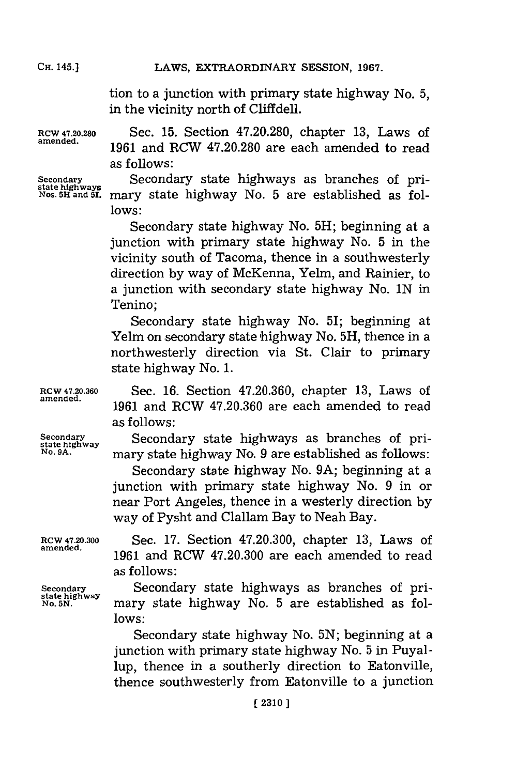LAWS, EXTRAORDINARY SESSION, 1967.

tion to a junction with primary state highway No. **5,** in the vicinity north of Cliffdell.

**RCW 47.20.280** Sec. **15.** Section **47.20.280,** chapter **13,** Laws of **amended. 1961** and RCW **47.20.280** are each amended to read as follows:

**Secondary** Secondary state highways as branches of pri- **state highways Nas. 5H1 and 51.** mary state highway No. **5** are established as fol**lows:**

> Secondary state highway No. **5H;** beginning at a junction with primary state highway No. **5** in the vicinity south of Tacoma, thence in a southwesterly direction **by** way of McKenna, Yelm, and Rainier, to a junction with secondary state highway No. **IN** in Tenino;

> Secondary state highway No. 51; beginning at Yelm on secondary state highway No. 5H, thence in a northwesterly direction via St. Clair to primary state highway No. **1.**

**RCW 47.20.360** Sec. **16.** Section **47.20.360,** chapter **13,** Laws of 1961 and RCW 47.20.360 are each amended to read as follows:

**Secondary** Secondary state highways as branches of pri- **state highway No. 9A.** mary state highway No. **9** are established as follows:

Secondary state highway No. **9A;** beginning at a junction with primary state highway No. **9** in or near Port Angeles, thence in a westerly direction **by** way of Pysht and Clallam Bay to Neah Bay.

**RCW 47.20.300** Sec. **17.** Section 47.20.300, chapter **13,** Laws of **amended. <sup>1961</sup>**and RCW 47.20.300 are each amended to read as follows:

**Secondary** Secondary state highways as branches of pri- **state highwayhiwa** 5 **<sup>1</sup>** mary state highway No. 5 are established as fol**lows:**

> Secondary state highway No. **5N;** beginning at a junction with primary state highway No. **5** in Puyallup, thence in a southerly direction to Eatonville, thence southwesterly from Eatonville to a junction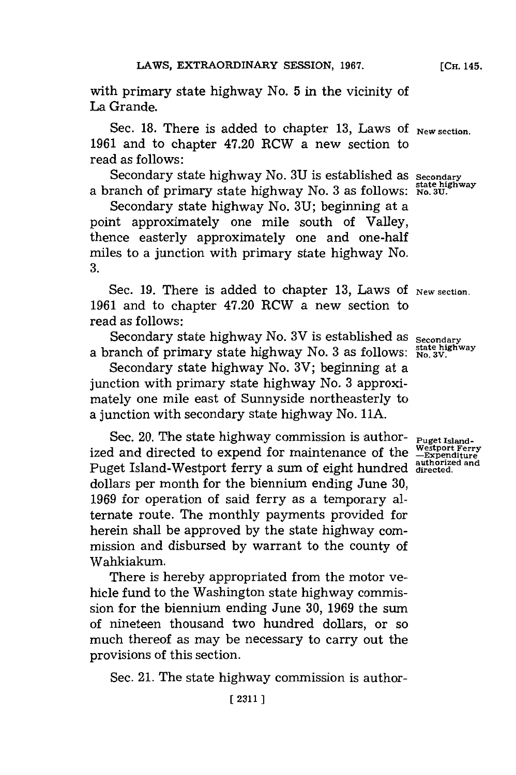with primary state highway No. **5** in the vicinity of La Grande.

Sec. 18. There is added to chapter 13, Laws of New section. **1961** and to chapter 47.20 RCW a new section to read as follows:

Secondary state highway No. **3U** is established as **Secondary** state highway No. 50 is established as state highway<br>a branch of primary state highway No. 3 as follows: No. 3U.

Secondary state highway No. **3U;** beginning at a point approximately one mile south of Valley, thence easterly approximately one and one-half miles to a junction with primary state highway No. **3.**

Sec. 19. There is added to chapter 13, Laws of New section. **1961** and to chapter 47.20 RCW a new section to read as follows:

Secondary state highway No. 3V is established as **Secondary** branch of primary state highway No. **3** as follows: **stat higwa**

Secondary state highway No. 3V; beginning at a junction with primary state highway No. **3** approximately one mile east of Sunnyside northeasterly to a junction with secondary state highway No. **11A.**

Sec. 20. The state highway commission is author-  $_{\text{Puget Island}}$ . ized and directed to expend for maintenance of the Puget Island-Westport ferry a sum of eight hundred **authorized and directed.** dollars per month for the biennium ending June **30, 1969** for operation of said ferry as a temporary alternate route. The monthly payments provided for herein shall be approved **by** the state highway commission and disbursed **by** warrant to the county of Wahkiakum.

There is hereby appropriated from the motor vehicle fund to the Washington state highway commission for the biennium ending June **30, 1969** the sum of nineteen thousand two hundred dollars, or so much thereof as may be necessary to carry out the provisions of this section.

Sec. 21. The state highway commission is author-

**Westport Ferry -Expenditure**

**[CH.** 145.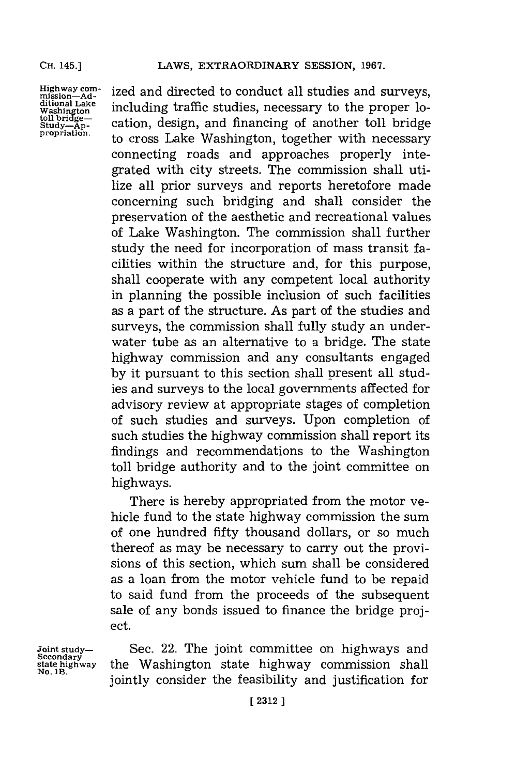**Highway corn- mission-Ad-ditional Lake toll bridge- Study-Ap-propriation.**

ized and directed to conduct all studies and surveys, including traffic studies, necessary to the proper location, design, and financing of another toll bridge to cross Lake Washington, together with necessary connecting roads and approaches properly integrated with city streets. The commission shall utilize all prior surveys and reports heretofore made concerning such bridging and shall consider the preservation of the aesthetic and recreational values of Lake Washington. The commission shall further study the need for incorporation of mass transit facilities within the structure and, for this purpose, shall cooperate with any competent local authority in planning the possible inclusion of such facilities as a part of the structure. As part of the studies and surveys, the commission shall fully study an underwater tube as an alternative to a bridge. The state highway commission and any consultants engaged **by** it pursuant to this section shall present all studies and surveys to the local governments affected for advisory review at appropriate stages of completion of such studies and surveys. Upon completion of such studies the highway commission shall report its findings and recommendations to the Washington toll bridge authority and to the joint committee on highways.

There is hereby appropriated from the motor vehicle fund to the state highway commission the sum of one hundred fifty thousand dollars, or so much thereof as may be necessary to carry out the provisions of this section, which sum shall be considered as a loan from the motor vehicle fund to be repaid to said fund from the proceeds of the subsequent sale of any bonds issued to finance the bridge project.

**Joint study- Secondary state highway No. 1B.**

Sec. 22. The joint committee on highways and the Washington state highway commission shall jointly consider the feasibility and justification for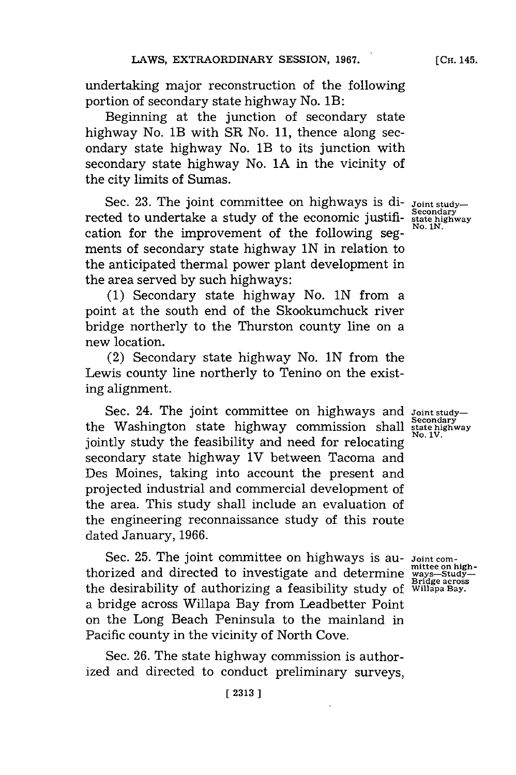undertaking major reconstruction of the following portion of secondary state highway No. 1B:

Beginning at the junction of secondary state highway No. lB with SR No. **11,** thence along secondary state highway No. lB to its junction with secondary state highway No. **1A** in the vicinity of the city limits of Sumas.

Sec. 23. The joint committee on highways is di-  $J_{\text{point study}}$ <br>rected to undertake a study of the economic justifi-<br> $\frac{S_{\text{secondary}}}{N_0 N}$ cation for the improvement of the following seg- **No.** *1N.* ments of secondary state highway **iN** in relation to the anticipated thermal power plant development in the area served **by** such highways:

**(1)** Secondary state highway No. **lN** from a point at the south end of the Skookumchuck river bridge northerly to the Thurston county line on a new location.

(2) Secondary state highway No. **lN** from the Lewis county line northerly to Tenino on the existing alignment.

Sec. 24. The joint committee on highways and **Joint study**the Washington state highway commission shall secondary jointly study the feasibility and need for relocating secondary state highway IV between Tacoma and Des Moines, taking into account the present and projected industrial and commercial development of the area. This study shall include an evaluation of the engineering reconnaissance study of this route dated January, **1966.**

Sec. 25. The joint committee on highways is au- *Joint com-*<br>
thorized and directed to investigate and determine ways-Study-**Bridge across** the desirability of authorizing a feasibility study of **Willapa Bay.** a bridge across Willapa Bay from Leadbetter Point on the Long Beach Peninsula to the mainland in Pacific county in the vicinity of North Cove.

Sec. **26.** The state highway commission is authorized and directed to conduct preliminary surveys,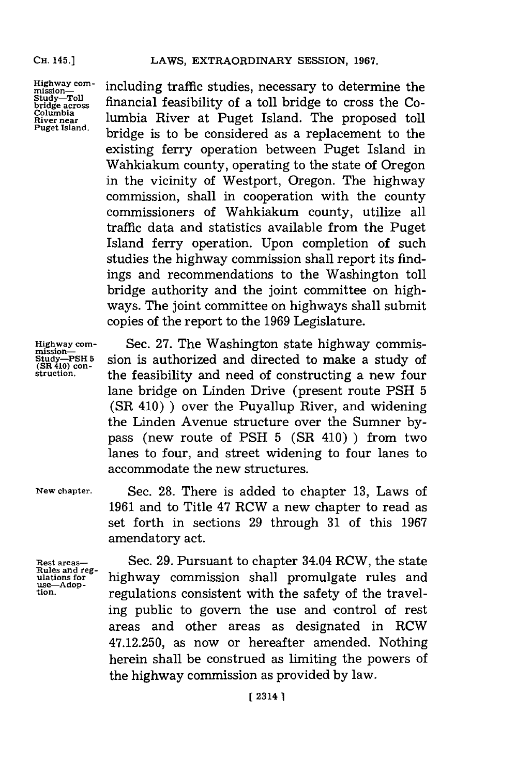**Highway com- mission-Study-Toll bridge across Columbia River near Puget Island.**

including traffic studies, necessary to determine the financial feasibility of a toll bridge to cross the Columbia River at Puget Island. The proposed toll bridge is to be considered as a replacement to the existing ferry operation between Puget Island in Wahkiakum county, operating to the state of Oregon in the vicinity of Westport, Oregon. The highway commission, shall in cooperation with the county commissioners of Wahkiakum county, utilize all traffic data and statistics available from the Puget Island ferry operation. Upon completion of such studies the highway commission shall report its findings and recommendations to the Washington toll bridge authority and the joint committee on highways. The joint committee on highways shall submit copies of the report to the **1969** Legislature.

**Highway com- mission-S tudy-PSH 5 (SR 410) cn- struction.**

Sec. **27.** The Washington state highway commission is authorized and directed to make a study of the feasibility and need of constructing a new four lane bridge on Linden Drive (present route **PSH 5** (SR 410) **)** over the Puyallup River, and widening the Linden Avenue structure over the Sumner **by**pass (new route of **PSH 5** (SR 410) **)** from two lanes to four, and street widening to four lanes to accommodate the new structures.

**New chapter.**

Sec. **28.** There is added to chapter **13,** Laws of **1961** and to Title 47 RCW a new chapter to read as set forth in sections **29** through **31** of this **1967** amendatory act.

**Rest areas- Rules and reg- ulations for use-Adop** - **tion.**

Sec. **29.** Pursuant to chapter 34.04 RCW, the state highway commission shall promulgate rules and regulations consistent with the safety of the traveling public to govern the use and control of rest areas and other areas as designated in RCW 47.12.250, as now or hereafter amended. Nothing herein shall be construed as limiting the powers of the highway commission as provided **by** law.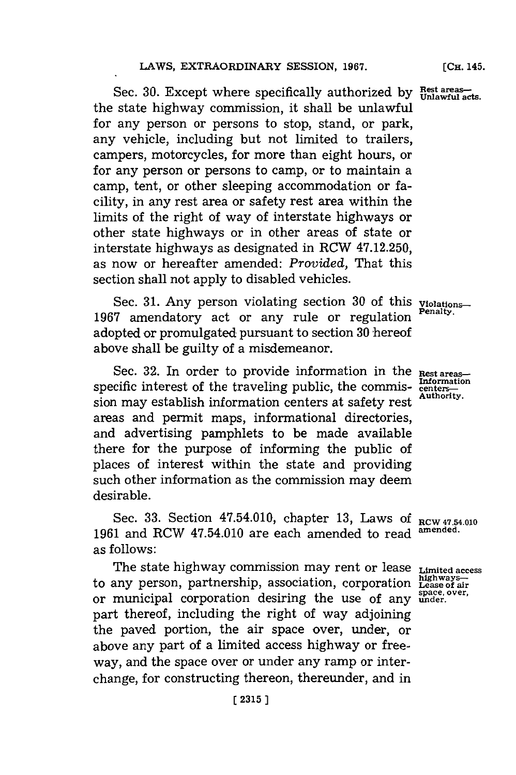Sec. **30.** Except where specifically authorized **by Rest areas- Unlawful acts.** the state highway commission, it shall be unlawful for any person or persons to stop, stand, or park, any vehicle, including but not limited to trailers, campers, motorcycles, for more than eight hours, or for any person or persons to camp, or to maintain a camp, tent, or other sleeping accommodation or facility, in any rest area or safety rest area within the limits of the right of way of interstate highways or other state highways or in other areas of state or interstate highways as designated in RCW 47.12.250, as now or hereafter amended: *Provided,* That this section shall not apply to disabled vehicles.

Sec. **31.** Any person violating section **30** of this **Violations-**1967 amendatory act or any rule or regulation adopted or promulgated pursuant to section **30** hereof above shall be guilty of a misdemeanor.

Sec. 32. In order to provide information in the Rest areas specific interest of the traveling public, the commis-  $\frac{\text{Information of the area}}{\text{center}}$ sion may establish information centers at safety rest areas and permit maps, informational directories, and advertising pamphlets to be made available there for the purpose of informing the public of places of interest within the state and providing such other information as the commission may deem desirable.

Sec. **33.** Section 47.54.010, chapter **13,** Laws **of RCW 47.54.010** 1961 and RCW 47.54.010 are each amended to read as follows:

The state highway commission may rent or lease **Limited access** to any person, partnership, association, corporation **Lease of air** or municipal corporation desiring the use of any **ender**. part thereof, including the right of way adjoining the paved portion, the air space over, under, or above any part of a limited access highway or freeway, and the space over or under any ramp or interchange, for constructing thereon, thereunder, and in

**Rest areas- Information Authority.**

**(CH.** 145.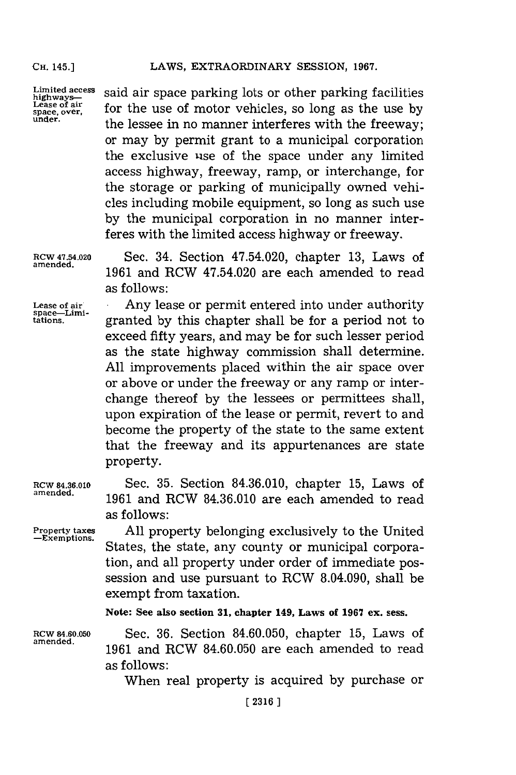**Lease of air**

**Limited access** si i pc akn rohrfclte **highways-** sadarsaepriglots orohrparking fclte Lease of air<br>space, over, **for the use of motor vehicles**, so long as the use by<br>under, the lessee in no manner interferes with the freeway; or may **by** permit grant to a municipal corporation the exclusive use of the space under any limited access highway, freeway, ramp, or interchange, for the storage or parking of municipally owned vehicles including mobile equipment, so long as such use **by** the municipal corporation in no manner interferes with the limited access highway or freeway.

**RCW 47.54.020** Sec. 34. Section 47.54.020, chapter **13,** Laws of 1961 and RCW 47.54.020 are each amended to read as follows:

**Lease of air** Any lease or permit entered into under authority **space--Limitations,** granted **by** this chapter shall be for a period not to exceed fifty years, and may be for such lesser period as the state highway commission shall determine. **All** improvements placed within the air space over or above or under the freeway or any ramp or interchange thereof **by** the lessees or permittees shall, upon expiration of the lease or permit, revert to and become the property of the state to the same extent that the freeway and its appurtenances are state property.

**RCW 84.36.010** Sec. **35.** Section **84.36.010,** chapter **15,** Laws of **amended. 1961** and RCW **84.36.010** are each amended to read as follows:

**Property taxes All** property belonging exclusively to the United States, the state, any county or municipal corporation, and all property under order of immediate possession and use pursuant to RCW 8.04.090, shall be exempt from taxation.

**Note: See also section 31, chapter 149,** *Laws* **of 1967 ex. sess.**

**RCW 4.60.050** Sec. **36.** Section **84.60.050,** chapter **15,** Laws of 1961 and RCW 84.60.050 are each amended to read as follows:

When real property is acquired **by** purchase or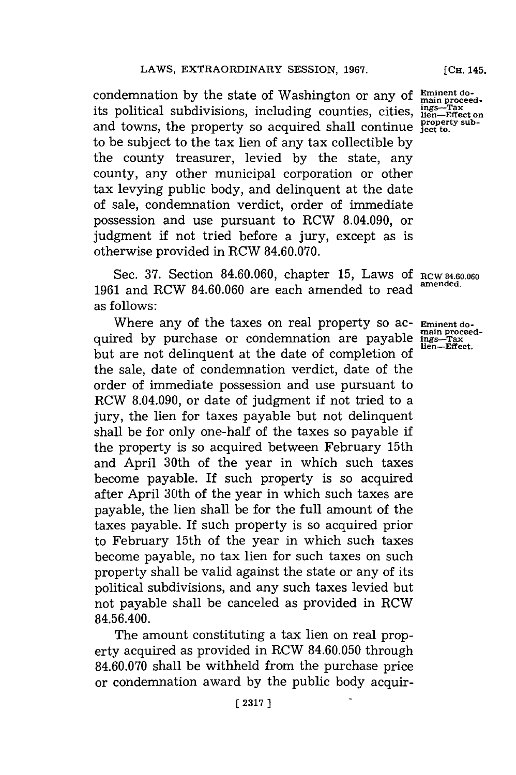condemnation by the state of Washington or any of **Eminent do**condemnation by the state of washington or any of main proceed-<br>its political subdivisions, including counties, cities,  $\frac{\text{ings}-\text{Far}}{\text{hler}-\text{Effect}}$ and towns, the property so acquired shall continue **property sub-ject to.** to be subject to the tax lien of any tax collectible **by** the county treasurer, levied **by** the state, any county, any other municipal corporation or other tax levying public body, and delinquent at the date of sale, condemnation verdict, order of immediate possession and use pursuant to RCW 8.04.090, or judgment if not tried before a jury, except as is otherwise provided in RCW **84.60.070.**

Sec. **37.** Section **84.60.060,** chapter **15,** Laws **Of** Rcw **4.6.060** 1961 and RCW 84.60.060 are each amended to read as follows:

Where any of the taxes on real property so ac- **Eminent do-**<br>
red by purchase or condemnation are payable ings-rax<br>
lien-Effect. quired **by** purchase or condemnation are payable **ings- <sup>3</sup> rax** but are not delinquent at the date of completion of the sale, date of condemnation verdict, date of the order of immediate possession and use pursuant to RCW 8.04.090, or date of judgment if not tried to a jury, the lien for taxes payable but not delinquent shall be for only one-half of the taxes so payable **if** the property is so acquired between February 15th and April 30th of the year in which such taxes become payable. If such property is so acquired after April 30th of the year in which such taxes are payable, the lien shall be for the full amount of the taxes payable. If such property is so acquired prior to February 15th of the year in which such taxes become payable, no tax lien for such taxes on such property shall be valid against the state or any of its political subdivisions, and any such taxes levied but not payable shall be canceled as provided in RCW 84.56.400.

The amount constituting a tax lien on real property acquired as provided in RCW **84.60.050** through **84.60.070** shall be withheld from the purchase price or condemnation award **by** the public body acquir**[CH.** 145.

ings—Tax<br>lien—Effect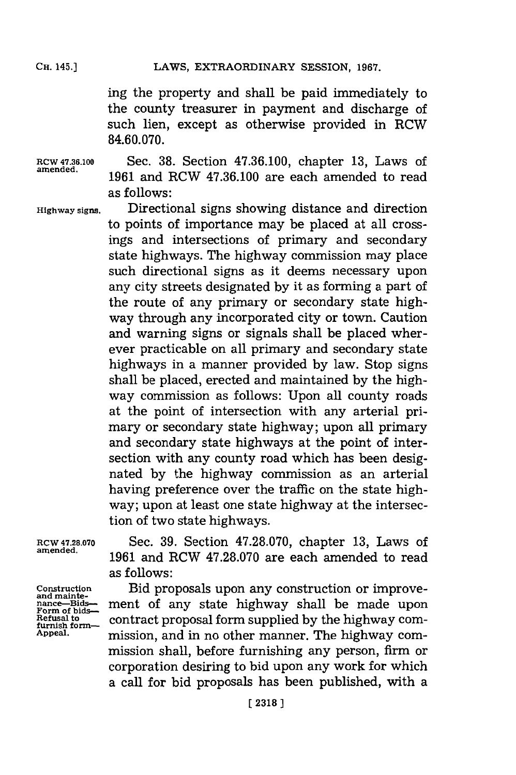ing the property and shall be paid immediately to the county treasurer in payment and discharge of such lien, except as otherwise provided in RCW **84.60.070.**

**RCW 47.36.100** Sec. **38.** Section **47.36.100,** chapter **13,** Laws of **amended. 1961** and RCW **47.36.100** are each amended to read as follows:

**Highway signs.** Directional signs showing distance and direction to points of importance may be placed at all crossings and intersections of primary and secondary state highways. The highway commission may place such directional signs as it deems necessary upon any city streets designated **by** it as forming a part of the route of any primary or secondary state highway through any incorporated city or town. Caution and warning signs or signals shall be placed wherever practicable on all primary and secondary state highways in a manner provided **by** law. Stop signs shall be placed, erected and maintained **by** the highway commission as follows: Upon all county roads at the point of intersection with any arterial primary or secondary state highway; upon all primary and secondary state highways at the point of intersection with any county road which has been designated **by** the highway commission as an arterial having preference over the traffic on the state highway; upon at least one state highway at the intersection of two state highways.

**RCW 47.28.070** Sec. **39.** Section **47.28.070,** chapter **13,** Laws of **amended. 1961** and RCW **47.28.070** are each amended to read as follows:

Construction **Bid proposals upon any construction or improve-**<br>and maintenance-Bids-<br>**Form of bids- ment** of any state highway shall be made upon<br>**Refusal to** contract proposal form supplied by the bighway com-Refusal to **contract proposal form supplied by the highway com-**<br>furnish form-<br>Appeal. **The mission and in no other manner.** The highway commission, and in no other manner. The highway commission shall, before furnishing any person, firm or corporation desiring to bid upon any work for which a call for bid proposals has been published, with a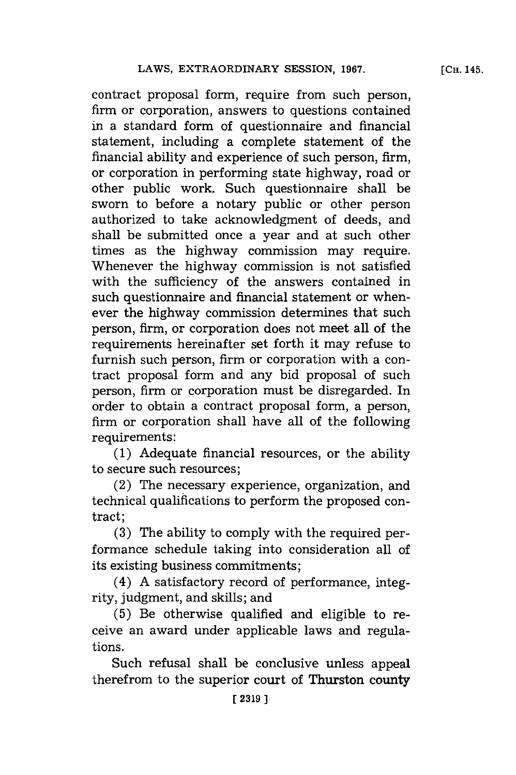contract proposal form, require from such person, firm or corporation, answers to questions contained in a standard form of questionnaire and financial statement, including a complete statement of the financial ability and experience of such person, firm, or corporation in performing state highway, road or other public work. Such questionnaire shall be sworn to before a notary public or other person authorized to take acknowledgment of deeds, and shall be submitted once a year and at such other times as the highway commission may require. Whenever the highway commission is not satisfied with the sufficiency of the answers contained in such questionnaire and financial statement or whenever the highway commission determines that such person, firm, or corporation does not meet all of the requirements hereinafter set forth it may refuse to furnish such person, firm or corporation with a contract proposal form and any bid proposal of such person, **firm** or corporation must be disregarded. In order to obtain a contract proposal form, a person, firm or corporation shall have all of the following requirements:

**(1)** Adequate financial resources, or the ability to secure such resources;

(2) The necessary experience, organization, and technical qualifications to perform the proposed contract;

**(3)** The ability to comply with the required performance schedule taking into consideration all of its existing business commitments;

(4) **A** satisfactory record of performance, integrity, judgment, and skills; and

**(5)** Be otherwise qualified and eligible to receive an award under applicable laws and regulations.

Such refusal shall be conclusive unless appeal therefrom to the superior court of Thurston county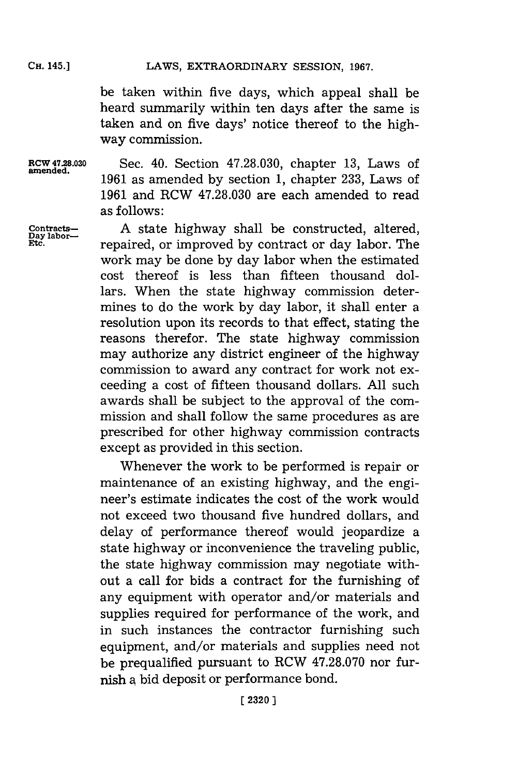be taken within five days, which appeal shall be heard summarily within ten days after the same is taken and on five days' notice thereof to the highway commission.

**RCW 47.28.030** Sec. 40. Section **47.28.030,** chapter **13,** Laws of amened. **1961** as amended **by** section **1,** chapter **233,** Laws of **1961** and RCW **47.28.030** are each amended to read as follows:

**Contracts-** A state highway shall be constructed, altered,  $\frac{Day \text{ labor}}{Et}$  renaired or improved by contract or day labor. The **labor** repaired, or improved **by** contract or day labor. The work may be done **by** day labor when the estimated cost thereof is less than fifteen thousand dollars. When the state highway commission determines to do the work **by** day labor, it shall enter a resolution upon its records to that effect, stating the reasons therefor. The state highway commission may authorize any district engineer of the highway commission to award any contract for work not exceeding a cost of fifteen thousand dollars. **All** such awards shall be subject to the approval of the commission and shall follow the same procedures as are prescribed for other highway commission contracts except as provided in this section.

> Whenever the work to be performed is repair or maintenance of an existing highway, and the engineer's estimate indicates the cost of the work would not exceed two thousand five hundred dollars, and delay of performance thereof would jeopardize a state highway or inconvenience the traveling public, the state highway commission may negotiate without a call for bids a contract for the furnishing of any equipment with operator and/or materials and supplies required for performance of the work, and in such instances the contractor furnishing such equipment, and/or materials and supplies need not be prequalified pursuant to RCW **47.28.070** nor furnish a bid deposit or performance bond.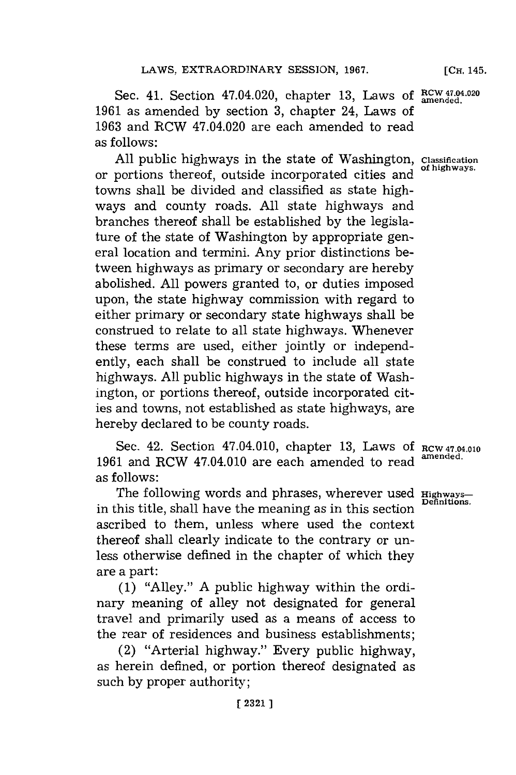**[CH,** 145.

Sec. 41. Section 47.04.020, chapter 13, Laws of  $\frac{RCW 47.04.020}{amended}$ **1961** as amended **by** section **3,** chapter 24, Laws of **1963** and RCW 47.04.020 are each amended to read as follows:

**All** public highways in the state of Washington, **Classification** or portions thereof, outside incorporated cities and towns shall be divided and classified as state highways and county roads. **All** state highways and branches thereof shall be established **by** the legislature of the state of Washington **by** appropriate general location and termini. Any prior distinctions between highways as primary or secondary are hereby abolished. **All** powers granted to, or duties imposed upon, the state highway commission with regard to either primary or secondary state highways shall be construed to relate to all state highways. Whenever these terms are used, either jointly or independently, each shall be construed to include all state highways. **All** public highways in the state of Washington, or portions thereof, outside incorporated cities and towns, not established as state highways, are hereby declared to be county roads.

Sec. 42. Section 47.04.010, chapter **13,** Laws **Of RCW 47.04.010 <sup>1961</sup>**and RCW 47.04.010 are each amended to read **amended.** as follows:

The following words and phrases, wherever used **Highways**-in this title, shall have the meaning as in this section ascribed to them, unless where used the context thereof shall clearly indicate to the contrary or unless otherwise defined in the chapter of which they are a part:

**(1)** "Alley." **A** public highway within the ordinary meaning of alley not designated for general travel and primarily used as a means of access to the rear of residences and business establishments;

(2) "Arterial highway." Every public highway, as herein defined, or portion thereof designated as such **by** proper authority;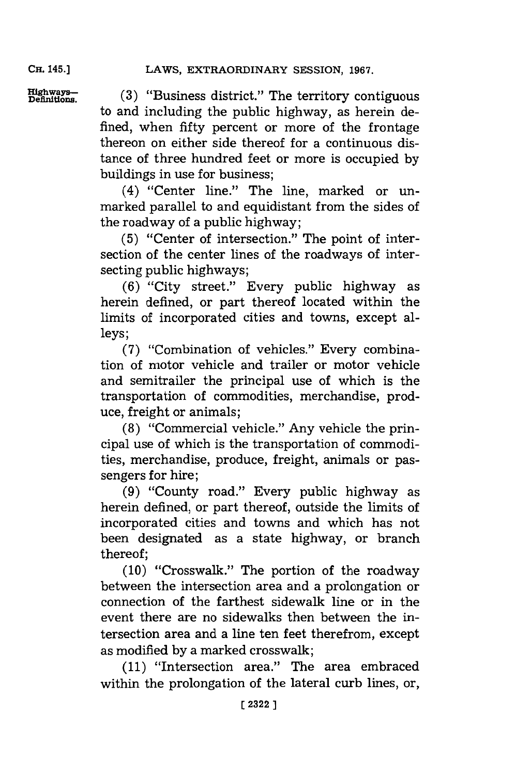LAWS, EXTRAORDINARY SESSION, 1967.

**CH.** 145.]

**Highwys-. (3)** "Business district." The territory contiguous to and including the public highway, as herein defined, when fifty percent or more of the frontage thereon on either side thereof for a continuous distance of three hundred feet or more is occupied **by** buildings in use for business;

> (4) "Center line." The line, marked or unmarked parallel to and equidistant from the sides of the roadway of a public highway;

> **(5)** "Center of intersection." The point of intersection of the center lines of the roadways of intersecting public highways;

> **(6)** "City street." Every public highway as herein defined, or part thereof located within the limits of incorporated cities and towns, except alleys;

> **(7)** "Combination of vehicles." Every combination of motor vehicle and trailer or motor vehicle and semitrailer the principal use of which is the transportation of commodities, merchandise, produce, freight or animals;

> **(8)** "Commercial vehicle." Any vehicle the principal use of which is the transportation of commodities, merchandise, produce, freight, animals or passengers for hire;

> **(9)** "County road." Every public highway as herein defined, or part thereof, outside the limits of incorporated cities and towns and which has not been designated as a state highway, or branch thereof;

> **(10)** "Crosswalk." The portion of the roadway between the intersection area and a prolongation or connection of the farthest sidewalk line or in the event there are no sidewalks then between the intersection area and a line ten feet therefrom, except as modified **by** a marked crosswalk;

> **(11)** "Intersection area." The area embraced within the prolongation of the lateral curb lines, or,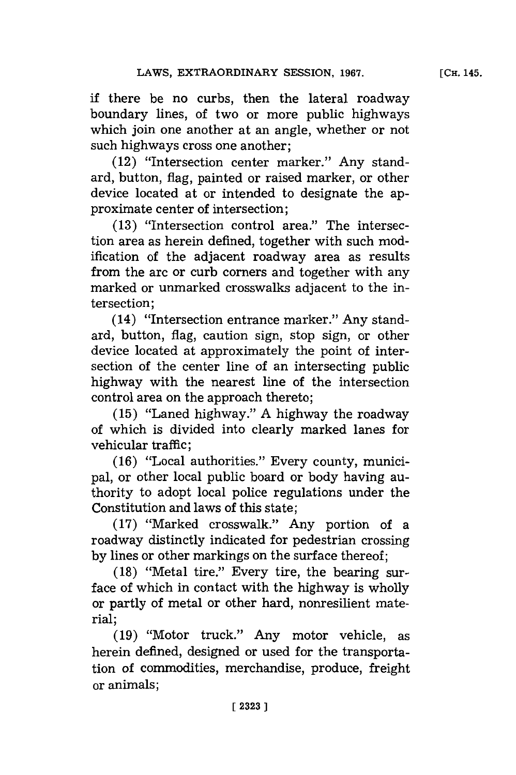if there be no curbs, then the lateral roadway boundary lines, of two or more public highways which join one another at an angle, whether or not such highways cross one another;

(12) "Intersection center marker." Any standard, button, flag, painted or raised marker, or other device located at or intended to designate the approximate center of intersection;

**(13)** "Intersection control area." The intersection area as herein defined, together with such modification of the adjacent roadway area as results from the arc or curb corners and together with any marked or unmarked crosswalks adjacent to the intersection;

(14) "Intersection entrance marker." Any standard, button, flag, caution sign, stop sign, or other device located at approximately the point of intersection of the center line of an intersecting public highway with the nearest line of the intersection control area on the approach thereto;

**(15)** "Laned highway." **A** highway the roadway of which is divided into clearly marked lanes for vehicular traffic;

**(16)** "Local authorities." Every county, municipal, or other local public board or body having authority to adopt local police regulations under the Constitution and laws of this state;

**(17)** "Marked crosswalk." Any portion of a roadway distinctly indicated for pedestrian crossing **by** lines or other markings on the surface thereof;

**(18)** "Metal tire." Every tire, the bearing surface of which in contact with the highway is wholly or partly of metal or other hard, nonresilient material;

**(19)** "Motor truck." Any motor vehicle, as herein defined, designed or used for the transportation of commodities, merchandise, produce, freight or animals;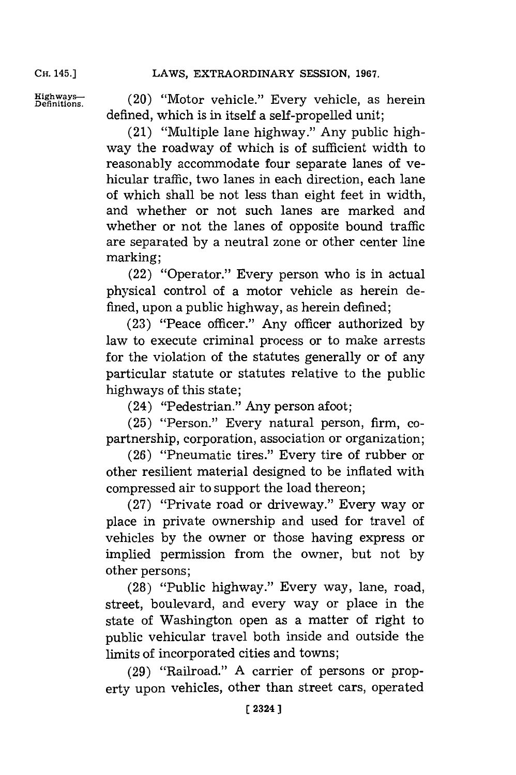Highways— (20) "Motor vehicle." Every vehicle, as herein defined, which is in itself a self-propelled unit;

> (21) "Multiple lane highway." Any public highway the roadway of which is of sufficient width to reasonably accommodate four separate lanes of vehicular traffic, two lanes in each direction, each lane of which shall be not less than eight feet in width, and whether or not such lanes are marked and whether or not the lanes of opposite bound traffic are separated **by** a neutral zone or other center line marking;

> (22) "Operator." Every person who is in actual physical control of a motor vehicle as herein defined, upon a public highway, as herein defined;

> **(23)** "Peace officer." Any officer authorized **by** law to execute criminal process or to make arrests for the violation of the statutes generally or of any particular statute or statutes relative to the public highways of this state;

(24) "Pedestrian." Any person afoot;

**(25)** "Person." Every natural person, firm, copartnership, corporation, association or organization;

**(26)** "Pneumatic tires." Every tire of rubber or other resilient material designed to be inflated with compressed air to support the load thereon;

**(27)** "Private road or driveway." Every way or place in private ownership and used for travel of vehicles **by** the owner or those having express or implied permission from the owner, but not **by** other persons;

**(28)** "Public highway." Every way, lane, road, street, boulevard, and every way or place in the state of Washington open as a matter of right to public vehicular travel both inside and outside the limits of incorporated cities and towns;

**(29)** "Railroad." **A** carrier of persons or property upon vehicles, other than street cars, operated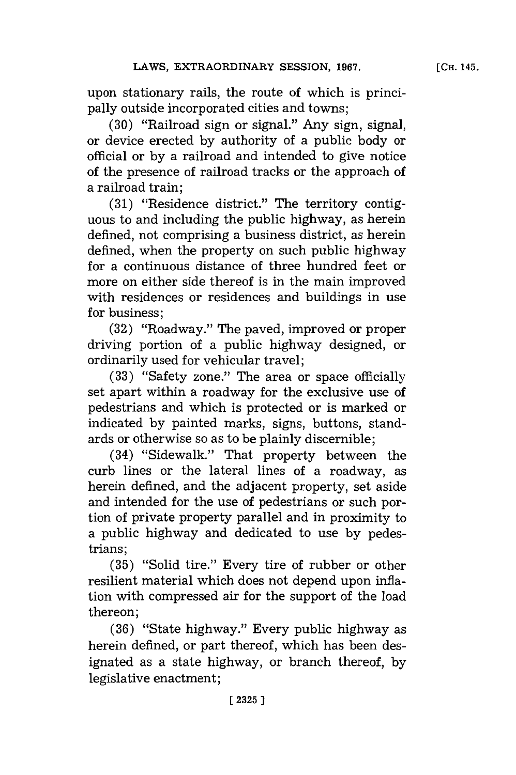upon stationary rails, the route of which is principally outside incorporated cities and towns;

**(30)** "Railroad sign or signal." Any sign, signal, or device erected **by** authority of a public body or official or **by** a railroad and intended to give notice of the presence of railroad tracks or the approach of a railroad train;

**(31)** "Residence district." The territory contiguous to and including the public highway, as herein defined, not comprising a business district, as herein defined, when the property on such public highway for a continuous distance of three hundred feet or more on either side thereof is in the main improved with residences or residences and buildings in use for business;

**(32)** "Roadway." The paved, improved or proper driving portion of a public highway designed, or ordinarily used for vehicular travel;

**(33)** "Safety zone." The area or space officially set apart within a roadway for the exclusive use of pedestrians and which is protected or is marked or indicated **by** painted marks, signs, buttons, standards or otherwise so as to be plainly discernible;

(34) "Sidewalk." That property between the curb lines or the lateral lines of a roadway, as herein defined, and the adjacent property, set aside and intended for the use of pedestrians or such portion of private property parallel and in proximity to a public highway and dedicated to use **by** pedestrians;

**(35)** "Solid tire." Every tire of rubber or other resilient material which does not depend upon inflation with compressed air for the support of the load thereon;

**(36)** "State highway." Every public highway as herein defined, or part thereof, which has been designated as a state highway, or branch thereof, **by** legislative enactment;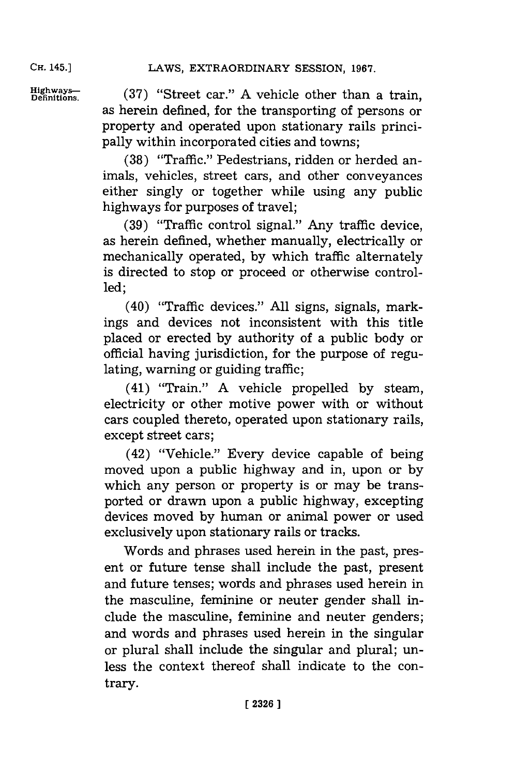Highways— (37) "Street car." A vehicle other than a as herein defined, for the transporting of persons or property and operated upon stationary rails principally within incorporated cities and towns;

> **(38)** "Traffic." Pedestrians, ridden or herded animals, vehicles, street cars, and other conveyances either singly or together while using any public highways for purposes of travel;

> **(39)** "Traffic control signal." Any traffic device, as herein defined, whether manually, electrically or mechanically operated, **by** which traffic alternately is directed to stop or proceed or otherwise controlled;

> (40) "Traffic devices." **All** signs, signals, markings and devices not inconsistent with this title placed or erected **by** authority of a public body or official having jurisdiction, for the purpose of regulating, warning or guiding traffic;

> (41) "Train." **A** vehicle propelled **by** steam, electricity or other motive power with or without cars coupled thereto, operated upon stationary rails, except street cars;

> (42) "Vehicle." Every device capable of being moved upon a public highway and in, upon or **by** which any person or property is or may be transported or drawn upon a public highway, excepting devices moved **by** human or animal power or used exclusively upon stationary rails or tracks.

> Words and phrases used herein in the past, present or future tense shall include the past, present arnd future tenses; words and phrases used herein in the masculine, feminine or neuter gender shall include the masculine, feminine and neuter genders; and words and phrases used herein in the singular or plural shall include the singular and plural; unless the context thereof shall indicate to the contrary.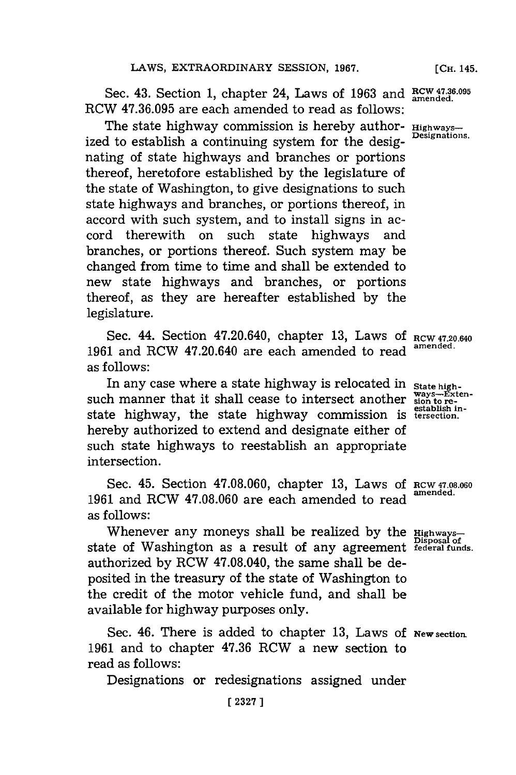Sec. 43. Section 1, chapter 24, Laws of 1963 and  $R<sup>TW 47.36.095</sup>$ RCW **47.36.095** are each amended to read as follows:

The state highway commission is hereby author- **Highways**ized to establish a continuing system for the designating of state highways and branches or portions thereof, heretofore established **by** the legislature of the state of Washington, to give designations to such state highways and branches, or portions thereof, in accord with such system, and to install signs in accord therewith on such state highways and branches, or portions thereof. Such system may be changed from time to time and shall be extended to new state highways and branches, or portions thereof, as they are hereafter established **by** the legislature.

Sec. 44. Section 47.20.640, chapter 13, Laws of RCW 47.20.640 **<sup>1961</sup>**and ROW 47.20.640 are each amended to read **amended.** as follows:

In any case where a state highway is relocated in state high-<br>such manner that it shall cease to intersect another ways-Exten-<br>establish instate highway, the state highway commission is tersection. hereby authorized to extend and designate either of such state highways to reestablish an appropriate intersection.

Sec. 45. Section 47.08.060, chapter 13, Laws of RCW 47.08.060 **1961** and RCW **47.08.060** are each amended to read as follows:

Whenever any moneys shall be realized by the **Highways**state of Washington as a result of any agreement **federal funds.** authorized **by** ROW 47.08.040, the same shall be deposited in the treasury of the state of Washington to the credit of the motor vehicle fund, and shall be available for highway purposes only.

Sec. 46. There is added to chapter **13,** Laws of **New section. 1961** and to chapter **47.36** ROW a new section to read as follows:

Designations or redesignations assigned under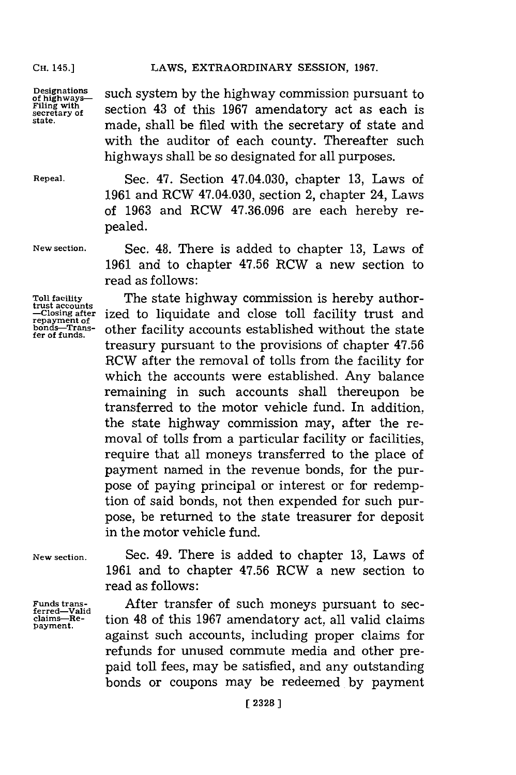**Designations of highways- Filing with secretary of state .**

such system **by** the highway commission pursuant to section 43 of this **1967** amendatory act as each is made, shall be filed with the secretary of state and with the auditor of each county. Thereafter such highways shall be so designated for all purposes.

LAWS, EXTRAORDINARY SESSION, 1967.

**Repeal.**

**New section.**

**Toll facility trust accounts -Closing after repayment of bonds-Transfer of funds.**

Sec. 47. Section 47.04.030, chapter **13,** Laws of **1961** and RCW 47.04.030, section 2, chapter 24, Laws of **1963** and RCW **47.36.096** are each hereby repealed.

Sec. 48. There is added to chapter **13,** Laws of **1961** and to chapter **47.56** RCW a new section to read as follows:

The state highway commission is hereby authorized to liquidate and close toll facility trust and other facility accounts established without the state treasury pursuant to the provisions of chapter **47.56** RCW after the removal of tolls from the facility for which the accounts were established. Any balance remaining in such accounts shall thereupon be transferred to the motor vehicle fund. In addition, the state highway commission may, after the removal of tolls from a particular facility or facilities, require that all moneys transferred to the place of payment named in the revenue bonds, for the purpose of paying principal or interest or for redemption of said bonds, not then expended for such purpose, be returned to the state treasurer for deposit in the motor vehicle fund.

**New section.**

Funds trans-<br>ferred—Valid<br>claim<del>s—R</del>e**payment.**

Sec. 49. There is added to chapter **13,** Laws of **1961** and to chapter **47.56** RCW a new section to read as follows:

After transfer of such moneys pursuant to section 48 of this **1967** amendatory act, all valid claims against such accounts, including proper claims for refunds for unused commute media and other prepaid toll fees, may be satisfied, and any outstanding bonds or coupons may be redeemed, **by** payment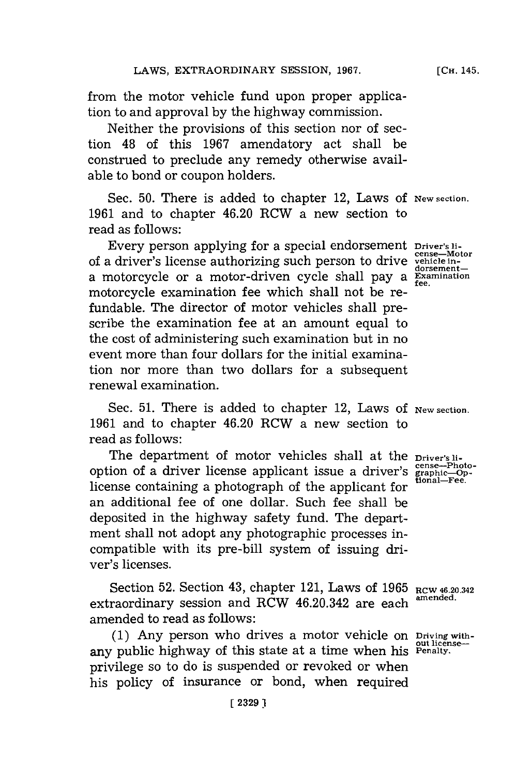from the motor vehicle fund upon proper application to and approval **by** the highway commission.

Neither the provisions of this section nor of section 48 of this **1967** amendatory act shall be construed to preclude any remedy otherwise available to bond or coupon holders.

Sec. 50. There is added to chapter 12, Laws of New section. **1961** and to chapter 46.20 RCW a new section to read as follows:

Every person applying for a special endorsement **Driver's ii**of a driver's license authorizing such person to drive **vehicle in**a motorcycle or a motor-driven cycle shall pay a  $\frac{20758mn}{\text{Fe}_{\text{e}}}}$ motorcycle examination fee which shall not be refundable. The director of motor vehicles shall prescribe the examination fee at an amount equal to the cost of administering such examination but in no event more than four dollars for the initial examination nor more than two dollars for a subsequent renewal examination.

Sec. 51. There is added to chapter 12, Laws of New section. **1961** and to chapter 46.20 RCW a new section to read as follows:

The department of motor vehicles shall at the **Driver's li-**<br>
ion of a driver license applicant issue a driver's graphic-pp-<br> **Property of the containing** a photograph of the contribution in the state. option of a driver license applicant issue a driver's license containing a photograph of the applicant for an additional fee of one dollar. Such fee shall be deposited in the highway safety fund. The department shall not adopt any photographic processes incompatible with its pre-bill system of issuing driver's licenses.

Section 52. Section 43, chapter 121, Laws of 1965 RCW 46.20.342 extraordinary session and RCW 46.20.342 are each **amended.** amended to read as follows:

**(1)** Any person who drives a motor vehicle on **Driving with**any public highway of this state at a time when his Penalty. privilege so to do is suspended or revoked or when his policy of insurance or bond, when required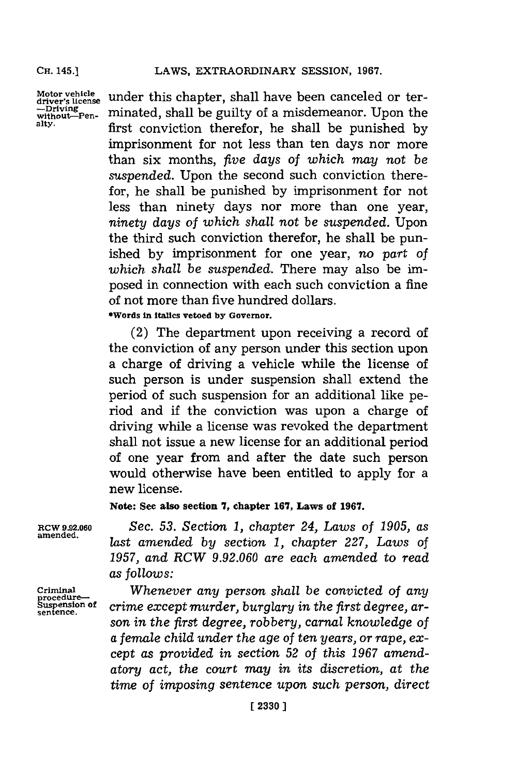**Motor vehicle driver's license -Drivin without-VPenalty.**

under this chapter, shall have been canceled or terminated, shall be guilty of a misdemeanor. Upon the first conviction therefor, he shall be punished **by** imprisonment for not less than ten days nor more than six months, *five days of which may* not *be suspended.* Upon the second such conviction therefor, he shall be punished **by** imprisonment for not less than ninety days nor more than one year, *ninety days of which shall not be suspended.* Upon the third such conviction therefor, he shall be punished **by** imprisomnent for one year, no *part of which shall be suspended.* There may also be imposed in connection with each such conviction a fine of not more than five hundred dollars.

**\*Words in italics vetoed by Governor.**

(2) The department upon receiving a record of the conviction of any person under this section upon a charge of driving a vehicle while the license of such person is under suspension shall extend the period of such suspension for an additional like period and if the conviction was upon a charge of driving while a license was revoked the department shall not issue a new license for an additional period of one year from and after the date such person would otherwise have been entitled to apply for a new license.

**Note: See also section 7, chapter 167, Laws of 1967.**

**RCW 9.92.060** *Sec. 53. Section 1, chapter 24, Laws of 1905, as* amened. *last amended by section 1, chapter 227, Laws of 1957, and RCW 9.92.060 are each amended to read as follows:*

**Criminal** *Whenever any person shall be convicted of any* **procedure-- Suspension of** *crime except murder, burglary in the first degree, ar-* **sentence.** *son in the first degree, robbery, carnal knowledge of a female child under the age of ten years, or rape, except as provided in section 52 of this 1967 amendatory act, the court may in its discretion, at the time of imposing sentence upon such person, direct*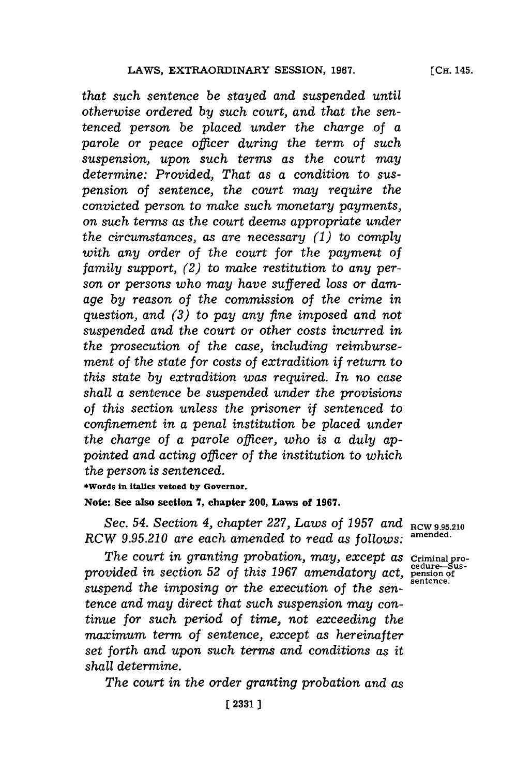*that such sentence be stayed and suspended until otherwise ordered by such court, and that the sentenced person be placed under the charge of a parole or peace officer during the term of such sus pension, upon such terms as the court may determine: Provided, That as a condition to suspension of sentence, the court may require the convicted person to make such monetary payments, on such terms as the court deems appropriate under the circumstances, as are necessary (1) to comply with any order of the court for the payment of family support, (2) to make restitution to any person or persons who may have suffered loss or damage by reason of the commission of the crime in question, and (3) to pay any fine imposed and not suspended and the court or other costs incurred in the prosecution of the case, including reimbursement of the state for costs of extradition if return to this state by extradition was required. In no case shall a sentence be suspended under the provisions of this section unless the prisoner if sentenced to confinement in a penal institution be placed under the charge of a parole officer, who is a duly appointed and acting officer of the institution to which the person is sentenced.*

**\*Words in italics vetoed by Governor.**

## **Note: See also section 7, chapter 200, Laws of 1967.**

Sec. 54. Section 4, chapter 227, Laws of 1957 and  $_{\text{RCW 9.95.210}}$ <br>*W. 0.05.210, are gash smapped to read as follower* amended. *RCW 9.95.210 are each amended to read as follows:* **~nfded-**

*The court in granting probation, may, except as Criminal pro-<br> The court in granting probation, may, except as Criminal pro*provided in section 52 of this 1967 amendatory act, pension of the section of the sentence. suspend the *imposing* or the execution of the sen*tence and may direct that such suspension may continue for such period of time, not exceeding the maximum term of sentence, except as hereinafter set forth and upon such terms and conditions as it shall determine.*

*The court in the order granting probation and as*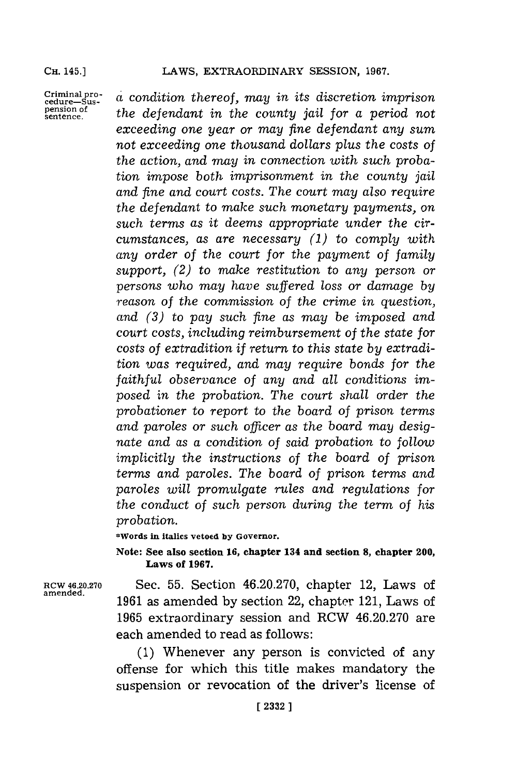Criminal pro-<br>cedure-Sus-

**criminal pro-** *a* condition thereof, may in its discretion imprison cedure-Sus-<br>pension of the defendant in the equation is il for a newled not pension of the defendant in the county jail for a period not *exceeding one year or may fine defendant any sum not exceeding one thousand dollars plus the costs of the action, and may in connection with such probation impose both imprisonment in the county jail and fine and court costs. The court may also require the defendant to make such monetary payments, on such terms as it deems appropriate under the circumstances, as are necessary (1) to comply with any order of the court for the payment of family support, (2) to make restitution to any person or persons who may have suffered loss or damage by reason of the commission of the crime in question, and (3) to pay such fine as may be imposed and court costs, including reimbursement of the state for costs of extradition if return to this state by extradition was required, and may require bonds for the faithful observance of any and all conditions imposed in the probation. The court shall order the probationer to report to the board of prison terms and paroles or such officer as the board may designate and as a condition of said probation to follow implicitly the instructions of the board of prison terms and paroles. The board of prison terms and paroles will promulgate rules and regulations for the conduct of such person during the term of his probation.*

**\*Words in italics vetoed by Governor.**

**Note: See also section 16, chapter 134 and section 8, chapter 200, Laws of 1967.**

**amended.**

**RCW4620.270** Sec. **55.** Section 46.20.270, chapter 12, Laws of **1961** as amended **by** section 22, chapter 121, Laws of **1965** extraordinary session and RCW 46.20.270 are each amended to read as follows:

> **(1)** Whenever any person is convicted of any offense for which this title makes mandatory the suspension or revocation of the driver's license of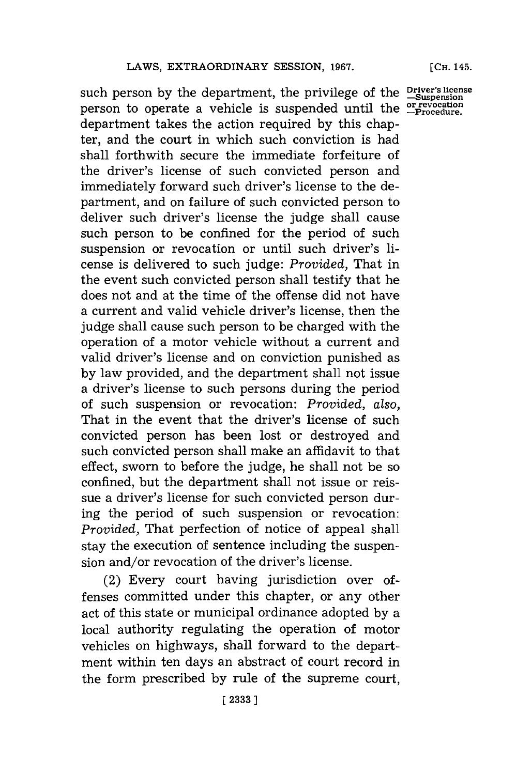such person **by** the department, the privilege of the **Driver's license -Suspension** person to operate a vehicle is suspended until the **or revocation** department takes the action required **by** this chapter, and the court in which such conviction is had shall forthwith secure the immediate forfeiture of the driver's license of such convicted person and immediately forward such driver's license to the department, and on failure of such convicted person to deliver such driver's license the judge shall cause such person to be confined for the period of such suspension or revocation or until such driver's license is delivered to such judge: *Provided,* That in the event such convicted person shall testify that he does not and at the time of the offense did not have a current and valid vehicle driver's license, then the judge shall cause such person to be charged with the operation of a motor vehicle without a current and valid driver's license and on conviction punished as **by** law provided, and the department shall not issue a driver's license to such persons during the period of such suspension or revocation: *Provided, also,* That in the event that the driver's license of such convicted person has been lost or destroyed and such convicted person shall make an affidavit to that effect, sworn to before the judge, he shall not be so confined, but the department shall not issue or reissue a driver's license for such convicted person during the period of such suspension or revocation: *Provided,* That perfection of notice of appeal shall stay the execution of sentence including the suspension and/or revocation of the driver's license.

(2) Every court having jurisdiction over offenses committed under this chapter, or any other act of this state or municipal ordinance adopted **by** a local authority regulating the operation of motor vehicles on highways, shall forward to the department within ten days an abstract of court record in the form prescribed **by** rule of the supreme court,

**[CH.** 145.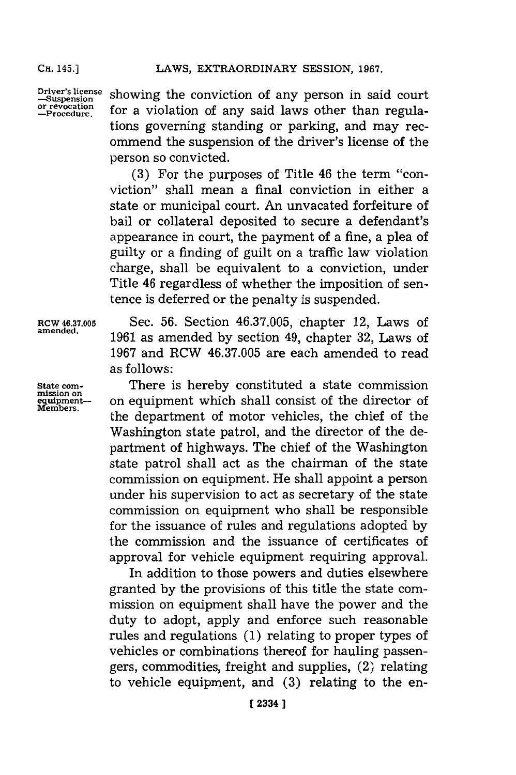**Driver's license -Suspension or revocation -Procedure.**

showing the conviction of any person in said court for a violation of any said laws other than regulations governing standing or parking, and may recommend the suspension of the driver's license of the person so convicted.

**(3)** For the purposes of Title 46 the term "conviction" shall mean a final conviction in either a state or municipal court. An unvacated forfeiture of bail or collateral deposited to secure a defendant's appearance in court, the payment of a fine, a plea of guilty or a finding of guilt on a traffic law violation charge, shall be equivalent to a conviction, under Title 46 regardless of whether the imposition of sentence is deferred or the penalty is suspended.

**State com-**<br>mission on<br>**equipment**<br>**Members.** 

RCW **46.37.005** Sec. **56.** Section **46.37.005,** chapter 12, Laws of amened. **1961** as amended **by** section 49, chapter **32,** Laws of **1967** and RCW **46.37.005** are each amended to read as follows:

> There is hereby constituted a state commission on equipment which shall consist of the director of the department of motor vehicles, the chief of the Washington state patrol, and the director of the department of highways. The chief of the Washington state patrol shall act as the chairman of the state commission on equipment. He shall appoint a person under his supervision to act as secretary of the state commission on equipment who shall be responsible for the issuance of rules and regulations adopted **by** the commission and the issuance of certificates of approval for vehicle equipment requiring approval.

> In addition to those powers and duties elsewhere granted **by** the provisions of this title the state commission on equipment shall have the power and the duty to adopt, apply and enforce such reasonable rules and regulations **(1)** relating to proper types of vehicles or combinations thereof for hauling passengers, commodities, freight and supplies, (2) relating to vehicle equipment, and **(3)** relating to the en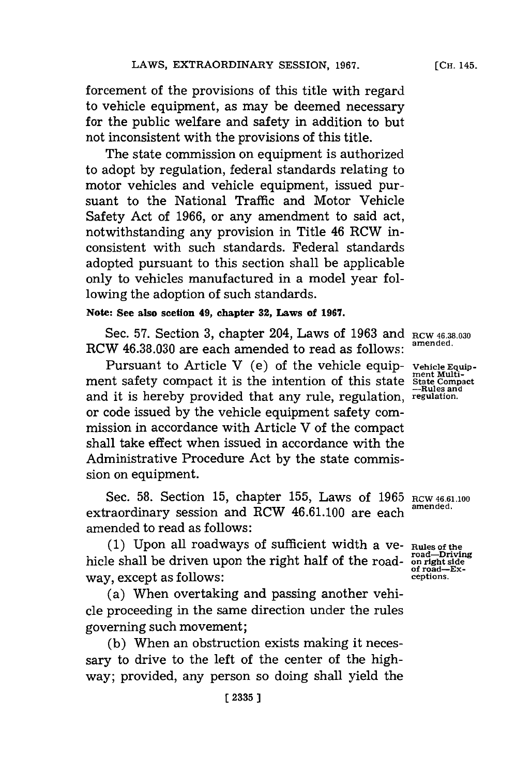forcement of the provisions of this title with regard to vehicle equipment, as may be deemed necessary for the public welfare and safety in addition to but not inconsistent with the provisions of this title.

The state commission on equipment is authorized to adopt **by** regulation, federal standards relating to motor vehicles and vehicle equipment, issued pursuant to the National Traffic and Motor Vehicle Safety Act of **1966,** or any amendment to said act, notwithstanding any provision in Title 46 RCW inconsistent with such standards. Federal standards adopted pursuant to this section shall be applicable only to vehicles manufactured in a model year following the adoption of such standards.

# **Note: See also section 49, chapter 32, Laws of 1967.**

Sec. **57.** Section **3,** chapter 204, Laws of **1963** and **RCW 46.38.030** RCW 46.38.030 are each amended to read as follows:

Pursuant to Article V (e) of the vehicle equip-<br>
ment Multi-<br>
state State Compact it is the intention of this state Compact<br>
<sup>--Rules</sup> and ment safety compact it is the intention of this state State Compact<br>and it is hereby provided that any rule regulation regulation. and it is hereby provided that any rule, regulation, **regulation.** or code issued **by** the vehicle equipment safety commission in accordance with Article V of the compact shall take effect when issued in accordance with the Administrative Procedure Act **by** the state commission on equipment.

Sec. 58. Section 15, chapter 155, Laws of 1965 RCW 46.61.100 extraordinary session and RCW 46.61.100 are each amended to read as follows:

**(1)** Upon all roadways of sufficient width a ye- **Rules of the** hicle shall be driven upon the right half of the roadway, except as follows: **ceptions.**

(a) When overtaking and passing another vehicle proceeding in the same direction under the rules governing such movement;

**(b)** When an obstruction exists making it necessary to drive to the left of the center of the highway; provided, any person so doing shall yield the

Rules of the<br>road—Driving<br>on right side<br>of road—Ex-<br>ceptions.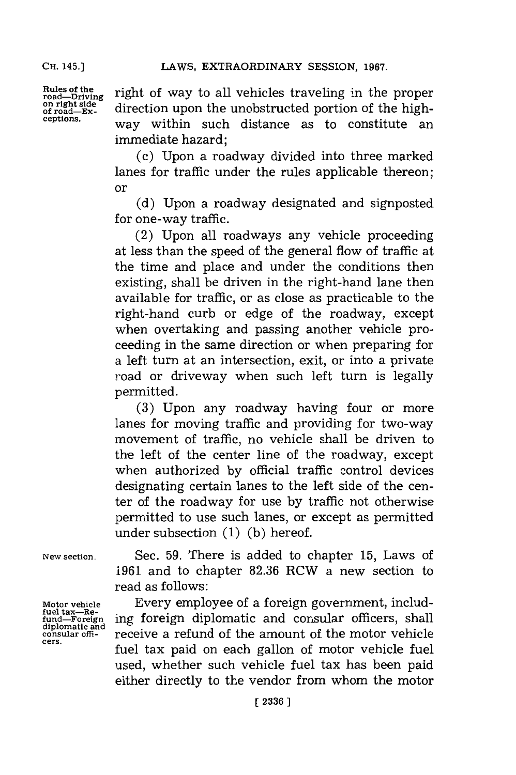**Rules of the road-Driving on right side of road-Exceptions.**

right of way to all vehicles traveling in the proper direction upon the unobstructed portion of the highway within such distance as to constitute an immediate hazard;

(c) Upon a roadway divided into three marked lanes for traffic under the rules applicable thereon; or

**(d)** Upon a roadway designated and signposted for one-way traffic.

(2) Upon all roadways any vehicle proceeding at less than the speed of the general flow of traffic at the time and place and under the conditions then existing, shall be driven in the right-hand lane then available for traffic, or as close as practicable to the right-hand curb or edge of the roadway, except when overtaking and passing another vehicle proceeding in the same direction or when preparing for a left turn at an intersection, exit, or into a private road or driveway when such left turn is legally permitted.

**(3)** Upon any roadway having four or more lanes for moving traffic and providing for two-way movement of traffic, no vehicle shall be driven to the left of the center line of the roadway, except when authorized **by** official traffic control devices designating certain lanes to the left side of the center of the roadway for use by traffic not otherwise permitted to use such lanes, or except as permitted under subsection **(1) (b)** hereof.

**New section.**

**Motor vehicle** motor venicle<br> **fuel tax---Re-**<br> **fund—Foreig diplomatic and consular offi- cers.**

Sec. **59.** There is added to chapter **15,** Laws of **1961** and to chapter **82.36** RCW a new section to read as follows:

Every employee of a foreign government, including foreign diplomatic and consular officers, shall receive a refund of the amount of the motor vehicle fuel tax paid on each gallon of motor vehicle fuel used, whether such vehicle fuel tax has been paid either directly to the vendor from whom the motor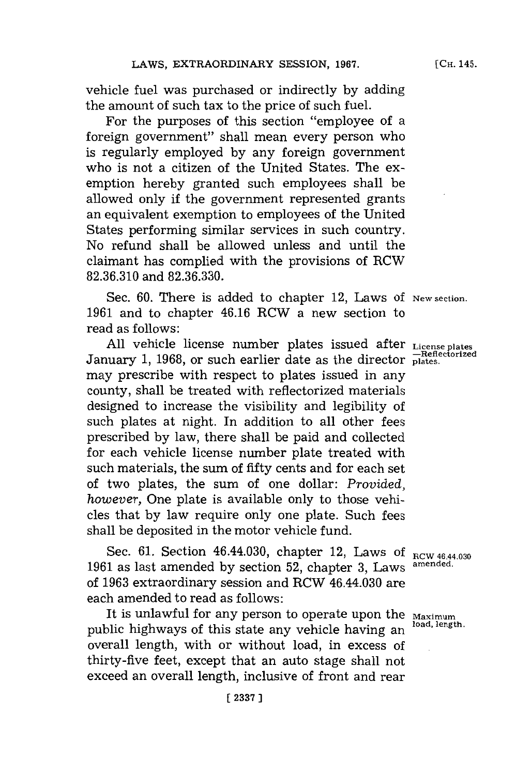vehicle fuel was purchased or indirectly **by** adding the amount of such tax to the price of such fuel.

For the purposes of this section "employee of a foreign government" shall mean every person who is regularly employed **by** any foreign govermnent who is not a citizen of the United States. The exemption hereby granted such employees shall be allowed only if the government represented grants an equivalent exemption to employees of the United States performing similar services in such country. No refund shall be allowed unless and until the claimant has complied with the provisions of RCW **82.36.310** and **82.36.330.**

Sec. 60. There is added to chapter 12, Laws of New section. **1961** and to chapter 46.16 RCW a new section to read as follows:

**All** vehicle license number plates issued after **License plates** January 1, 1968, or such earlier date as the director **plates**. may prescribe with respect to plates issued in any county, shall be treated with refiectorized materials designed to increase the visibility and legibility of such plates at night. In addition to all other fees prescribed **by** law, there shall be paid and collected for each vehicle license number plate treated with such materials, the sum of fifty cents and for each set of two plates, the sum of one dollar: *Provided, however,* One plate is available only to those vehicles that **by** law require only one plate. Such fees shall be deposited in the motor vehicle fund.

Sec. 61. Section 46.44.030, chapter 12, Laws of  $_{\text{RCW }46.44.030}$ <br>
Stas last amended by section 52, chapter 2, Laws amended. **1961** as last amended **by** section **52,** chapter **3,** Laws **amended.** of **1963** extraordinary session and RCW 46.44.030 are each amended to read as follows:

It is unlawful for any person to operate upon the **Maximum**<br>It is unlawful for any person to operate upon the *Maximum* public highways of this state any vehicle having an overall length, with or without load, in excess of thirty-five feet, except that an auto stage shall not exceed an overall length, inclusive of front and rear

**[ 2337** ]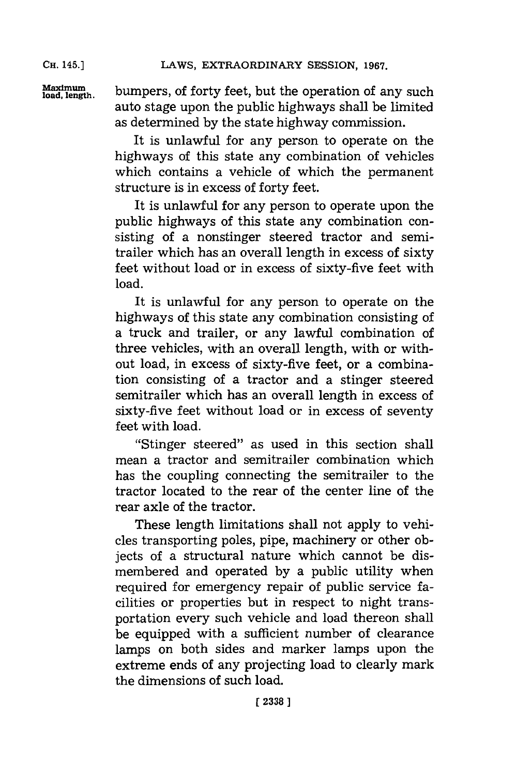Maximum bumpers, of forty feet, but the operation of any such auto stage upon the public highways shall be limited as determined **by** the state highway commission.

> It is unlawful for any person to operate on the highways of this state any combination of vehicles which contains a vehicle of which the permanent structure is in excess of forty feet.

> It is unlawful for any person to operate upon the public highways of this state any combination consisting of a nonstinger steered tractor and semitrailer which has an overall length in excess of sixty feet without load or in excess of sixty-five feet with load.

> It is unlawful for any person to operate on the highways of this state any combination consisting of a truck and trailer, or any lawful combination of three vehicles, with an overall length, with or without load, in excess of sixty-five feet, or a combination consisting of a tractor and a stinger steered semitrailer which has an overall length in excess of sixty-five feet without load or in excess of seventy feet with load.

> "Stinger steered" as used in this section shall mean a tractor and semitrailer combination which has the coupling connecting the semitrailer to the tractor located to the rear of the center line of the rear axle of the tractor.

> These length limitations shall not apply to vehicles transporting poles, pipe, machinery or other objects of a structural nature which cannot be dismembered and operated **by** a public utility when required for emergency repair of public service facilities or properties but in respect to night transportation every such vehicle and load thereon shall be equipped with a sufficient number of clearance lamps on both sides and marker lamps upon the extreme ends of any projecting load to clearly mark the dimensions of such load.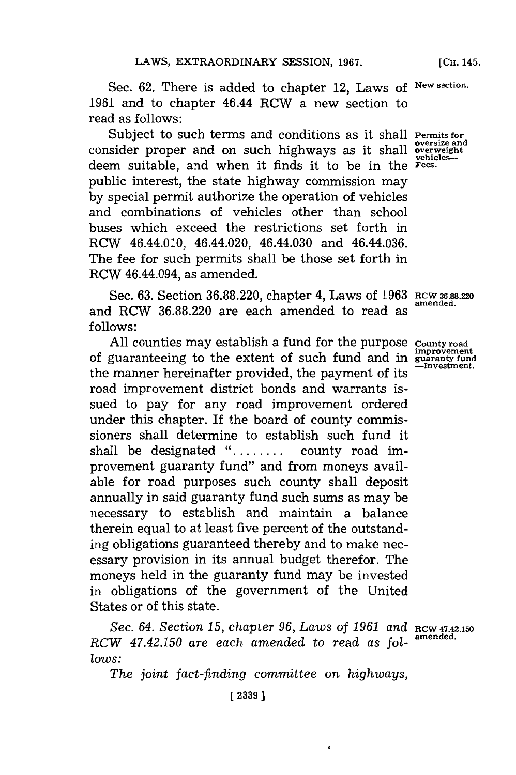**[Сн. 145.** 

Sec. **62.** There is added to chapter 12, Laws of **New section. 1961** and to chapter 46.44 RCW a new section to read as follows:

Subject to such terms and conditions as it shall **Permits** for consider proper and on such highways as it shall **overweight** deem suitable, and when it finds it to be in the **Fees.** public interest, the state highway commission may **by** special permit authorize the operation of vehicles and combinations of vehicles other than school buses which exceed the restrictions set forth in RCW 46.44.010, 46.44.020, 46.44.030 and 46.44.036. The fee for such permits shall be those set forth in RCW 46.44.094, as amended.

Sec. **63.** Section **36.88.220,** chapter 4, Laws of **1963 RCW 36.88.220** and RCW 36.88.220 are each amended to read as **follows:**

**All** counties may establish a fund for the purpose **County road** of guaranteeing to the extent of such fund and in **guaranty** fund<br>—Investment. the manner hereinafter provided, the payment of its road improvement district bonds and warrants issued to pay for any road improvement ordered under this chapter. If the board of county commissioners shall determine to establish such fund it shall be designated **........** county road improvement guaranty fund" and from moneys available for road purposes such county shall deposit annually in said guaranty fund such sums as may be necessary to establish and maintain a balance therein equal to at least five percent of the outstanding obligations guaranteed thereby and to make necessary provision in its annual budget therefor. The moneys held in the guaranty fund may be invested in obligations of the government of the United States or of this state.

*Sec. 64. Section 15, chapter 96, Laws of 1961* and **RCW47.42.150** *RCW 4 7.42.150 are each amended to read as fol-* **amended.** *lows:*

*The joint fact-finding committee on highways,*

**[I 2339 3**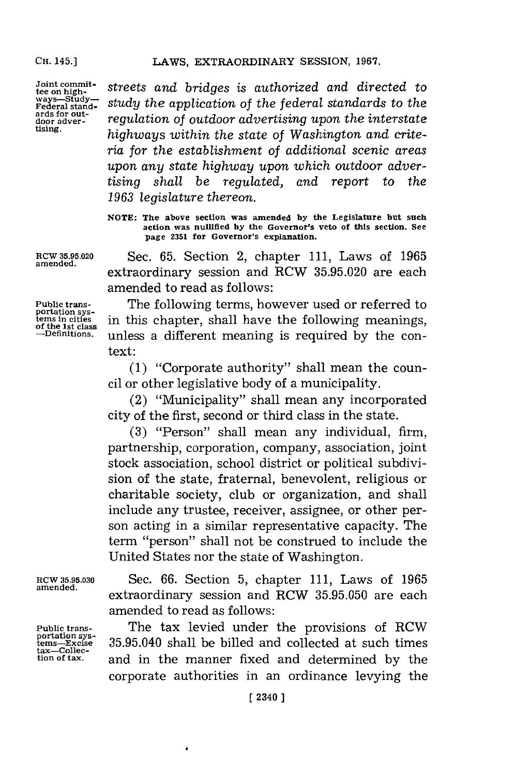**ards for out-**

Joint commit-<br> *tee* on high-<br> *x*<sup>ay</sup> – *study* – *study* the application of the federal standards to the<br> **Federal stand-Federal stand-** *sudy the* appiato *of th&e federal standards* to *the* ards for out-<br>door advertising upon the interstate<br>tising.<br>interval and the interval of Washington and outfield **tising.** *highways within the state of Washington and criteria for the establishment of additional scenic areas upon any state highway upon which outdoor advertising shall be regulated, and report to the 1963 legislature thereon.*

> **NOTE: The above section was amended by the Legislature but such action was nulified by the Governor's veto of this section. See page 2351 for Governor's explanation.**

Rcw **35.95.020** Sec. **65.** Section 2, chapter **111,** Laws of **1965** extraordinary session and RCW **35.95.020** are each amended to read as follows:

**Public trans-** The following terms, however used or referred to **tems in cities** in this chapter, shall have the following meanings, of the 1st class<br>
—Definitions, unless a different meaning is required by the conunless a different meaning is required by the context:

> **(1)** "Corporate authority" shall mean the council or other legislative body of a municipality.

> (2) "Municipality" shall mean any incorporated city of the first, second or third class in the state.

> **(3)** "Person" shall mean any individual, firm, partnership, corporation, company, association, joint stock association, school district or political subdivision of the state, fraternal, benevolent, religious or charitable society, club or organization, and shall include any trustee, receiver, assignee, or other person acting in a similar representative capacity. The term "person" shall not be construed to include the United States nor the state of Washington.

Fubite trans-<br>portation sys-<br>tems---Excise<br>tax--Collec-<br>tion of tax.

RCW **35.95.030** Sec. **66.** Section **5,** chapter **111,** Laws of **1965** extraordinary session and RCW 35.95.050 are each amended to read as follows:

**Public trans-** The tax levied under the provisions of RCW **portation sys- temns-Excise 35.95.040** shall be billed and collected at such times **tion of tax,** and in the manner fixed and determined **by** the corporate authorities in an ordinance levying the

**portation sys-**

**amended.**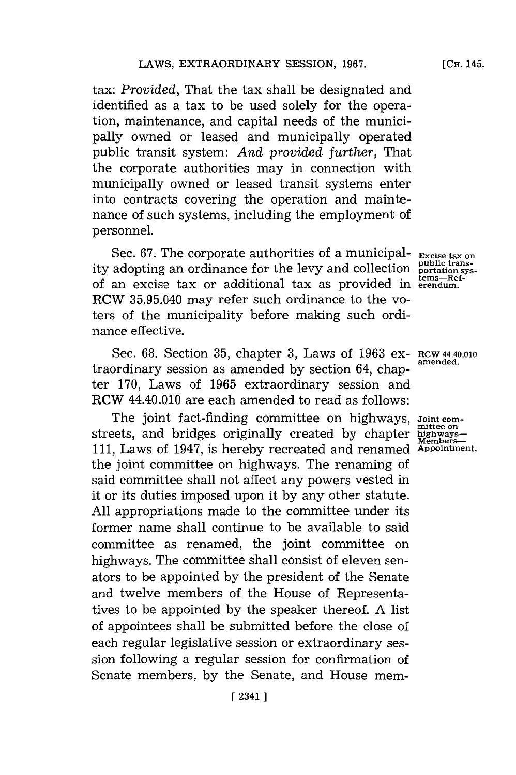*tax: Provided,* That the tax shall be designated and identified as a tax to be used solely for the operation, maintenance, and capital needs of the municipally owned or leased and municipally operated public transit system: *And provided further,* That the corporate authorities may in connection with municipally owned or leased transit systems enter into contracts covering the operation and maintenance of such systems, including the employment of personnel.

Sec. **67.** The corporate authorities of a municipal- **Excise tax on** ity adopting an ordinance for the levy and collection **public trans-**<br>of an excise tax or additional tax as provided in **erg-**-effect-RCW **35.95.040** may refer such ordinance to the voters of the municipality before making such ordinance effective.

Sec. **68.** Section **35,** chapter **3,** Laws of **1963** ex- RCW 44.40.010 traordinary session as amended by section 64, chapter **170,** Laws of **1965** extraordinary session and RCW 44.40.010 are each amended to read as follows:

The joint fact-finding committee on highways,  $Joint$  committee on streets, and bridges originally created by chapter **highways-111,** Laws of 1947, is hereby recreated and renamed **Appointment.** the joint committee on highways. The renaming of said committee shall not affect any powers vested in it or its duties imposed upon it **by** any other statute. **All** appropriations made to the committee under its former name shall continue to be available to said committee as renamed, the joint committee on highways. The committee shall consist of eleven senators to be appointed **by** the president of the Senate and twelve members of the House of Representatives to be appointed **by** the speaker thereof. **A** list of appointees shall be submitted before the close of each regular legislative session or extraordinary session following a regular session for confirmation of Senate members, **by** the Senate, and House mem-

**[CH.** 145.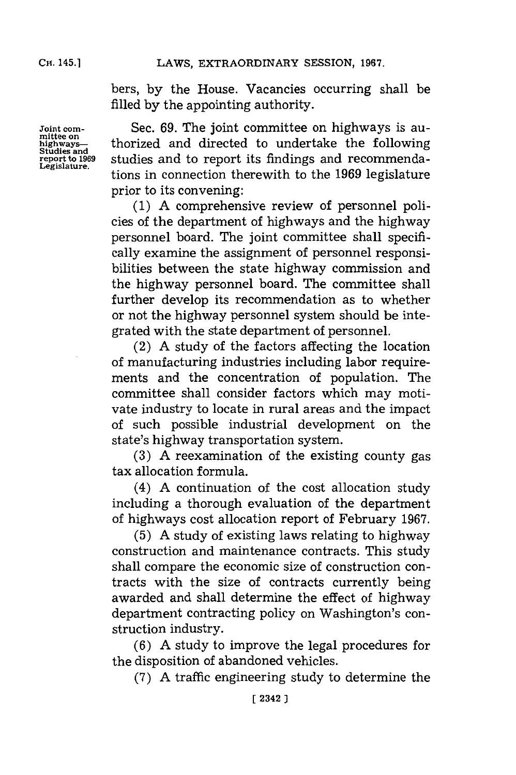bers, **by** the House. Vacancies occurring shall be filled **by** the appointing authority.

**Joint corn-** Sec. **69.** The joint committee on highways is aumittee on<br>highways—<br>studies and to report its findings and recommenda-<br>report to 1969 studies and to report its findings and recommenda-<br>Legislature. studies and to report its findings and recommendations in connection therewith to the 1969 legislature prior to its convening:

> **(1) A** comprehensive review of personnel policies of the department of highways and the highway personnel board. The joint committee shall specifically examine the assignment of personnel responsibilities between the state highway commission and the highway personnel board. The committee shall further develop its recommendation as to whether or not the highway personnel system should be integrated with the state department of personnel.

> (2) **A** study of the factors affecting the location of manufacturing industries including labor requirements and the concentration of population. The committee shall consider factors which may motivate industry to locate in rural areas and the impact of such possible industrial development on the state's highway transportation system.

> **(3) A** reexamination of the existing county gas tax allocation formula.

> (4) **A** continuation of the cost allocation study including a thorough evaluation of the department of highways cost allocation report of February **1967.**

> **(5) A** study of existing laws relating to highway construction and maintenance contracts. This study shall compare the economic size of construction contracts with the size of contracts currently being awarded and shall determine the effect of highway department contracting policy on Washington's construction industry.

> **(6) A** study to improve the legal procedures for the disposition of abandoned vehicles.

**(7) A** traffic engineering study to determine the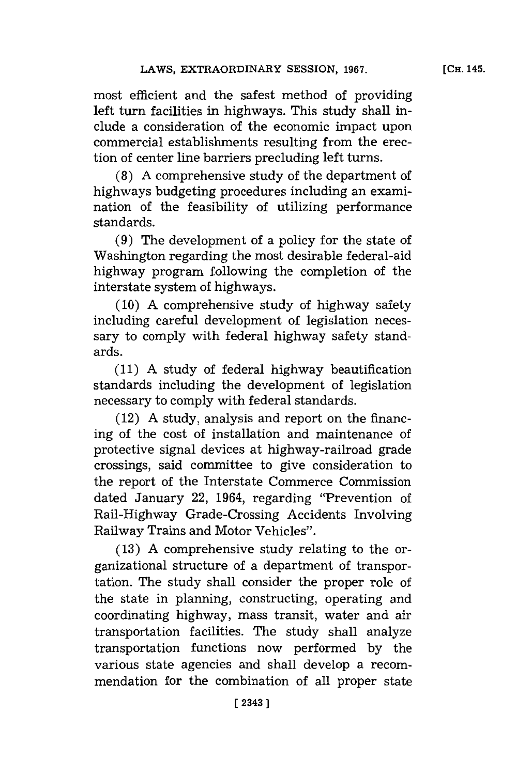most efficient and the safest method of providing left turn facilities in highways. This study shall include a consideration of the economic impact upon commercial establishments resulting from the erection of center line barriers precluding left turns.

**(8) A** comprehensive study of the department of highways budgeting procedures including an examination of the feasibility of utilizing performance standards.

**(9)** The development of a policy for the state of Washington regarding the most desirable federal-aid highway program following the completion of the interstate system of highways.

**(10) A** comprehensive study of highway safety including careful development of legislation necessary to comply with federal highway safety standards.

**(11) A** study of federal highway beautification standards including the development of legislation necessary to comply with federal standards.

(12) **A** study, analysis and report on the financing of the cost of installation and maintenance of protective signal devices at highway-railroad grade crossings, said committee to give consideration to the report of the Interstate Commerce Commission dated January 22, 1964, regarding "Prevention of Rail-Highway Grade-Crossing Accidents Involving Railway Trains and Motor Vehicles".

**(13) A** comprehensive study relating to the organizational structure of a department of transportation. The study shall consider the proper role of the state in planning, constructing, operating and coordinating highway, mass transit, water and air transportation facilities. The study shall analyze transportation functions now performed **by** the various state agencies and shall develop a recommendation for the combination of all proper state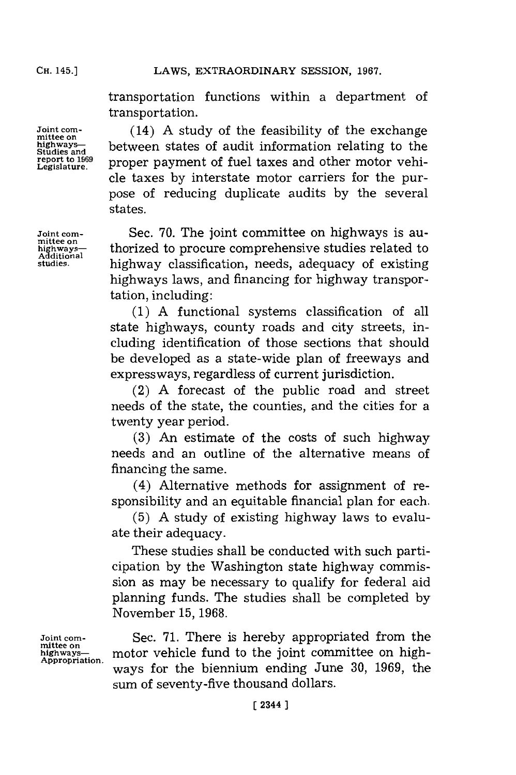transportation functions within a department of transportation.

Joint com-  $(14)$  A study of the feasibility of the exchange highways-<br>Studies and between states of audit information relating to the **report to 1969** proper payment of fuel taxes and other motor vehicle taxes **by** interstate motor carriers for the purpose of reducing duplicate audits **by** the several states.

**Joint com-** Sec. 70. The joint committee on highways is au-<br>mittee on highways-<br>highways-<br>**highway highway** classification needs adequacy of existing **studies,** highway classification, needs, adequacy of existing highways laws, and financing for highway transportation, including:

> **(1) A** functional systems classification of all state highways, county roads and city streets, including identification of those sections that should be developed as a state-wide plan of freeways and expressways, regardless of current jurisdiction.

> (2) **A** forecast of the public road and street needs of the state, the counties, and the cities for a twenty year period.

> **(3)** An estimate of the costs of such highway needs and an outline of the alternative means of financing the same.

> (4) Alternative methods for assignment of responsibility and an equitable financial plan for each.

> **(5) A** study of existing highway laws to evaluate their adequacy.

> These studies shall be conducted with such participation **by** the Washington state highway commission as may be necessary to qualify for federal aid planning funds. The studies shall be completed **by** November **15, 1968.**

Joint com-<br>mittee on Sec. 71. There is hereby appropriated from the mittee on<br>highways—<br>Appropriation. motor vehicle fund to the joint committee on highways for the biennium ending June 30, 1969, the sum of seventy-five thousand dollars.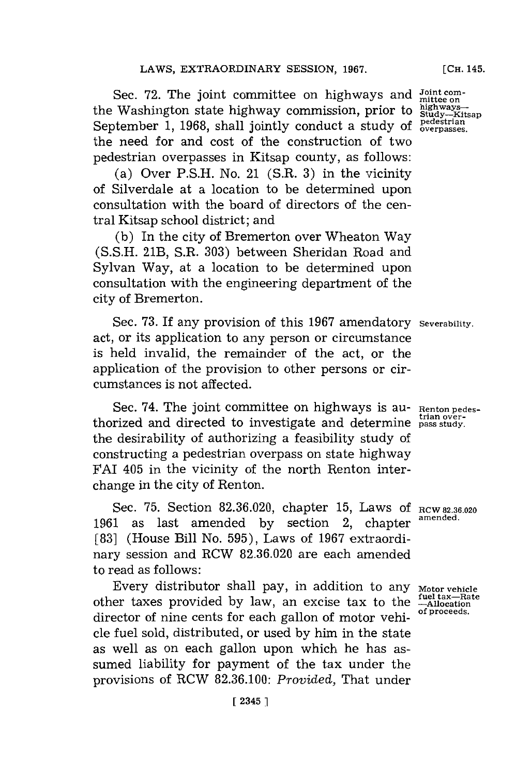Sec. 72. The joint committee on highways and *Joint com-*<br>Washington state highway commission, prior to highwaysthe Washington state highway commission, prior to the Washington state highway commission, prior to  $\frac{1}{360}$ ,  $\frac{1}{20}$ ,  $\frac{1}{360}$ ,  $\frac{1}{300}$ , shall jointly conduct a study of  $\frac{1}{60}$  verpasses. the need for and cost of the construction of two pedestrian overpasses in Kitsap county, as follows:

(a) Over **P.S.H.** No. 21 (S.R. **3)** in the vicinity of Silverdale at a location to be determined upon consultation with the board of directors of the central Kitsap school district; and

**(b)** In the city of Bremerton over Wheaton Way **(S.S.H.** 21B, S.R. **303)** between Sheridan Road and Sylvan Way, at a location to be determined upon consultation with the engineering department of the city of Bremerton.

Sec. **73.** If any provision of this **1967** amendatory **Severability.** act, or its application to any person or circumstance is held invalid, the remainder of the act, or the application of the provision to other persons or circumstances is not affected.

Sec. 74. The joint committee on highways is au- Renton pedes-Sec. 74. The joint committee on highways is au-<br>thorized and directed to investigate and determine pass study. the desirability of authorizing a feasibility study of constructing a pedestrian overpass on state highway FAT 405 in the vicinity of the north Renton interchange in the city of Renton.

Sec. 75. Section 82.36.020, chapter 15, Laws of RCW 82.36.020 **1961** as last amended **by** section 2, chapter **amended. [83]** (House Bill No. **595),** Laws of **1967** extraordinary session and RCW **82.36.020** are each amended to read as follows:

Every distributor shall pay, in addition to any **Motor vehicle**<br>ler taxes provided by law, an excise tax to the --Allocation other taxes provided by law, an excise tax to the  $\frac{4\text{m}}{\text{Allotator}}$  and  $\frac{4\text{m}}{\text{of producted}}$ . director of nine cents for each gallon of motor vehicle fuel sold, distributed, or used **by** him in the state as well as on each gallon upon which he has assumed liability for payment of the tax under the provisions of RCW **82.36.100:** *Provided,* That under

**[CH.** 145.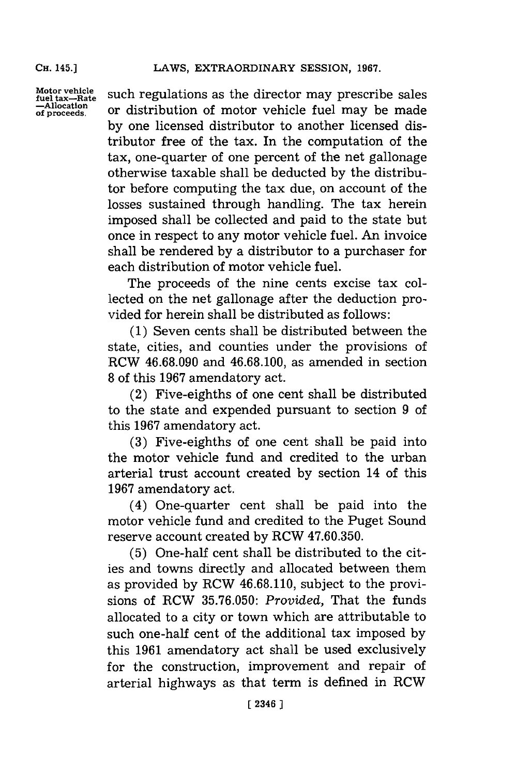**CH.** 145.)

**Motor vehicle fuel tax-Rate -Allocation of proceeds.**

such regulations as the director may prescribe sales or distribution of motor vehicle fuel may be made **by** one licensed distributor to another licensed distributor free of the tax. In the computation of the tax, one-quarter of one percent of the net gallonage otherwise taxable shall be deducted **by** the distributor before computing the tax due, on account of the losses sustained through handling. The tax herein imposed shall be collected and paid to the state but once in respect to any motor vehicle fuel. An invoice shall be rendered **by** a distributor to a purchaser for each distribution of motor vehicle fuel.

The proceeds of the nine cents excise tax collected on the net gallonage after the deduction provided for herein shall be distributed as follows:

**(1)** Seven cents shall be distributed between the state, cities, and counties under the provisions of ROW **46.68.090** and **46.68.100,** as amended in section **8** of this **1967** amendatory act.

(2) Five-eighths of one cent shall be distributed to the state and expended pursuant to section **9** of this **1967** amendatory act.

**(3)** Five-eighths of one cent shall be paid into the motor vehicle fund and credited to the urban arterial trust account created **by** section 14 of this **1967** amendatory act.

(4) One-quarter cent shall be paid into the motor vehicle fund and credited to the Puget Sound reserve account created **by** RCW **47.60.350.**

**(5)** One-half cent shall be distributed to the cities and towns directly and allocated between them as provided **by** ROW **46.68.110,** subject to the provisions of ROW **35.76.050:** *Provided,* That the funds allocated to a city or town which are attributable to such one-half cent of the additional tax imposed **by** this **1961** amendatory act shall be used exclusively for the construction, improvement and repair of arterial highways as that term is defined in ROW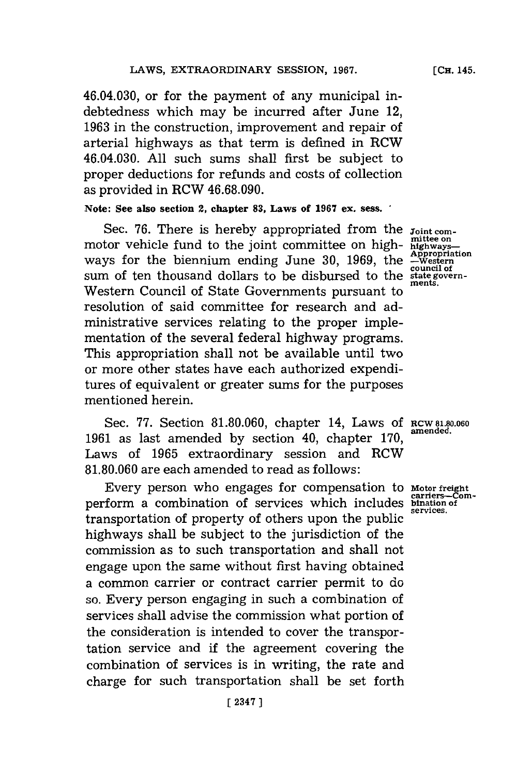46.04.030, or for the payment of any municipal indebtedness which may be incurred after June 12, **1963** in the construction, improvement and repair of arterial highways as that term is defined in RCW 46.04.030. **All** such sums shall first be subject to proper deductions for refunds and costs of collection as provided in RCW **46.68.090.**

## **Note: See also section 2, chapter 83, Laws of 1967 ex. sess.**

Sec. 76. There is hereby appropriated from the  $j_{\text{oint com}}$ Sec. 76. There is hereby appropriated from the  $j_{\text{oint com}}$  mittee on motor vehicle fund to the joint committee on high-  $\frac{\text{mitter on}}{\text{matusays}}}$ ways for the biennium ending June 30, 1969, the **Appropriation** sum of ten thousand dollars to be disbursed to the state govern-<br>state govern-Western Council of State Governments pursuant to resolution of said committee for research and administrative services relating to the proper implementation of the several federal highway programs. This appropriation shall not be available until two or more other states have each authorized expenditures of equivalent or greater sums for the purposes mentioned herein.

Sec. 77. Section 81.80.060, chapter 14, Laws of RCW81.80.060 1961 as last amended by section 40, chapter 170, Laws of **1965** extraordinary session and RCW **81.80.060** are each amended to read as follows:

Every person who engages for compensation to perform a combination of services which includes transportation of property of others upon the public highways shall be subject to the jurisdiction of the commission as to such transportation and shall not engage upon the same without first having obtained a common carrier or contract carrier permit to do so. Every person engaging in such a combination of services shall advise the commission what portion of the consideration is intended to cover the transportation service and if the agreement covering the combination of services is in writing, the rate and charge for such transportation shall be set forth

**Motor freight carrers-corn-bination of services.**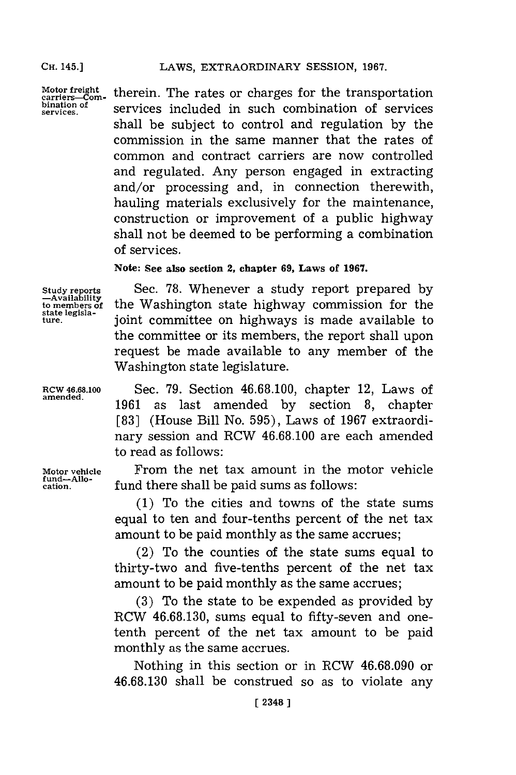**Motor freight carriers-Combination of services.**

therein. The rates or charges for the transportation services included in such combination of services shall be subject to control and regulation **by** the commission in the same manner that the rates of common and contract carriers are now controlled and regulated. Any person engaged in extracting and/or processing and, in connection therewith, hauling materials exclusively for the maintenance, construction or improvement of a public highway shall not be deemed to be performing a combination of services.

**Note: See also section 2, chapter 69, Laws of 1967.**

**Study reports -Availability to members of state legislature.**

Sec. **78.** Whenever a study report prepared **by** the Washington state highway commission for the joint committee on highways is made available to the committee or its members, the report shall upon request be made available to any member of the Washington state legislature.

**RCw 46.68.100** Sec. **79.** Section **46.68.100,** chapter 12, Laws of 1961 as last amended by section 8, chapter **[831** (House Bill No. **595),** Laws of **1967** extraordinary session and RCW **46.68.100** are each amended to read as follows:

**Motor vehicle** From the net tax amount in the motor vehicle fund there shall be paid sums as follows:

> **(1)** To the cities and towns of the state sums equal to ten and four-tenths percent of the net tax amount to be paid monthly as the same accrues;

> (2) To the counties of the state sums equal to thirty-two and five-tenths percent of the net tax amount to be paid monthly as the same accrues;

> **(3)** To the state to be expended as provided **by** RCW **46.68.130,** sums equal to fifty-seven and onetenth percent of the net tax amount to be paid monthly as the same accrues.

> Nothing in this section or in RCW **46.68.090** or **46.68.130** shall be construed so as to violate any

fund-Allo-<br>cation.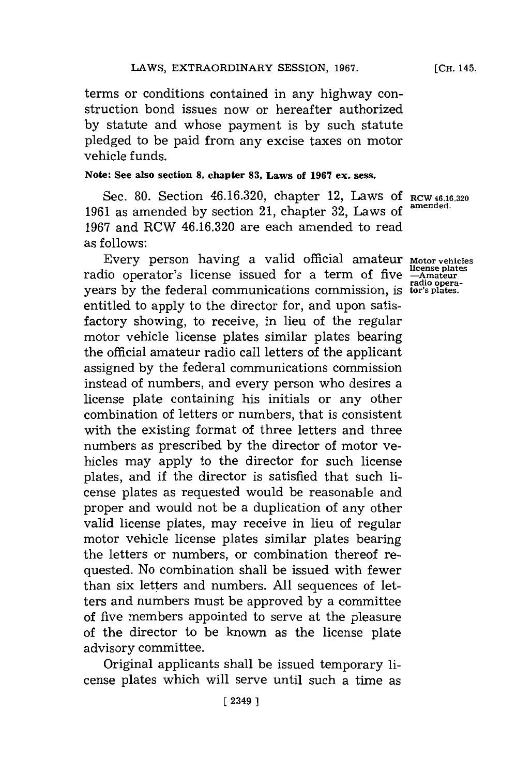## LAWS, EXTRAORDINARY SESSION, 1967.

terms or conditions contained in any highway construction bond issues now or hereafter authorized **by** statute and whose payment is **by** such statute pledged to be paid from any excise taxes on motor vehicle funds.

# **Note: See also section 8, chapter 83, Laws of 1967 ex. sess.**

Sec. **80.** Section **46.16.320,** chapter 12, Laws **Of RCW 46.16.320 <sup>1961</sup>**as amended **by** section 21, chapter **32,** Laws of **amrended. 1967** and RCW **46.16.320** are each amended to read as **follows**:

Every person having a valid official amateur **Motor vehicles** radio operator's license issued for a term of five years **by** the federal communications commission, is entitled to apply to the director for, and upon satisfactory showing, to receive, in lieu of the regular motor vehicle license plates similar plates bearing the official amateur radio call letters of the applicant assigned **by** the federal communications commission instead of numbers, and every person who desires a license plate containing his initials or any other combination of letters or numbers, that is consistent with the existing format of three letters and three numbers as prescribed **by** the director of motor vehicles may apply to the director for such license plates, and if the director is satisfied that such license plates as requested would be reasonable and proper and would not be a duplication of any other valid license plates, may receive in lieu of regular motor vehicle license plates similar plates bearing the letters or numbers, or combination thereof requested. No combination shall be issued with fewer than six letters and numbers. **All** sequences of letters and numbers must be approved **by** a committee of five members appointed to serve at the pleasure of the director to be known as the license plate advisory committee.

Original applicants shall be issued temporary license plates which will serve until such a time as

**license plates -Amateur radio opera-tor's plates.**

**[CH.** 145.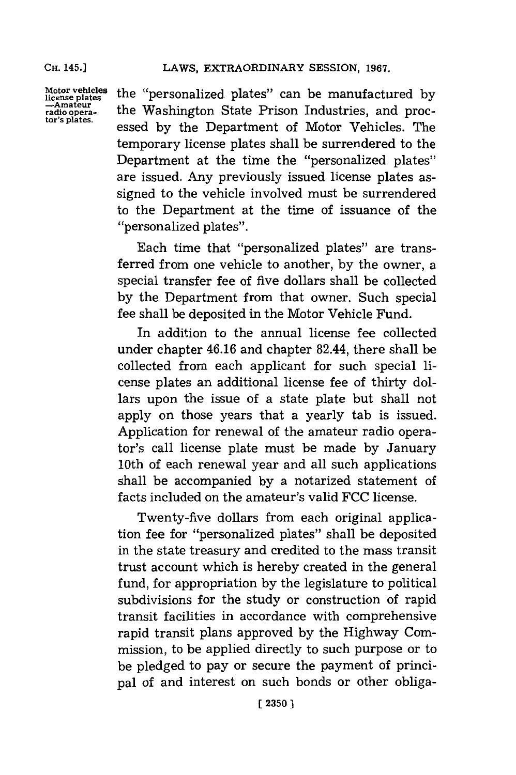**Motor vehicles icense plates -Amateur radio opera-tor's plates.**

the "personalized plates" can be manufactured **by** the Washington State Prison Industries, and processed **by** the Department of Motor Vehicles. The temporary license plates shall be surrendered to the Department at the time the "personalized plates" are issued. Any previously issued license plates assigned to the vehicle involved must be surrendered to the Department at the time of issuance of the "personalized plates".

Each time that "personalized plates" are transferred from one vehicle to another, **by** the owner, a special transfer fee of five dollars shall be collected **by** the Department from that owner. Such special fee shall be deposited in the Motor Vehicle Fund.

In addition to the annual license fee collected under chapter 46.16 and chapter 82.44, there shall be collected from each applicant for such special license plates an additional license fee of thirty dollars upon the issue of a state plate but shall not apply on those years that a yearly tab is issued. Application for renewal of the amateur radio operator's call license plate must be made **by** January 10th of each renewal year and all such applications shall be accompanied **by** a notarized statement of facts included on the amateur's valid **FCC** license.

Twenty-five dollars from each original application fee for "personalized plates" shall be deposited in the state treasury and credited to the mass transit trust account which is hereby created in the general fund, for appropriation **by** the legislature to political subdivisions for the study or construction of rapid transit facilities in accordance with comprehensive rapid transit plans approved **by** the Highway Commission, to be applied directly to such purpose or to be pledged to pay or secure the payment of principal of and interest on such bonds or other obliga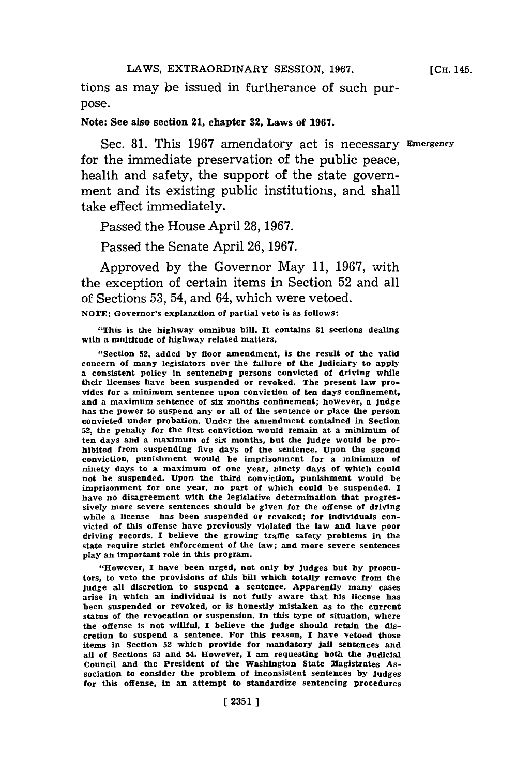tions as may be issued in furtherance of such purpose.

#### Note: See also section 21, chapter **32,** Laws of **1967.**

Sec. 81. This 1967 amendatory act is necessary Emergency for the immediate preservation of the public peace, health and safety, the support of the state government and its existing public institutions, and shall take effect immediately.

Passed the House April **28, 1967.**

Passed the Senate April **26, 1967.**

Approved **by** the Governor May **11, 1967,** with the exception of certain items in Section **52** and all of Sections **53,** 54, and 64, which were vetoed.

**NOTE:** Governor's explanation of partial veto is as follows:

"This is the highway omnibus bili. It contains **81** sections dealing with a multitude of highway related matters.

**"** Section **52,** added **by** floor amendment, is the result of the valid concern of many legislators over the failure of the judiciary to apply a consistent policy in sentencing persons convicted of driving while their licenses have been suspended or revoked. The present law provides for a minimum sentence upon conviction of ten days confinement, and a maximum sentence of six months confinement; however, a judge has the power to suspend any or all of the sentence or place the person convicted under probation. Under the amendment contained in Section **52,** the penalty for the first conviction would remain at a minimum of ten days and a maximum of six months, but the judge would be prohibited from suspending five days of the sentence. Upon the second conviction, punishment would be imprisonment for a minimum of ninety days to a maximum of one year, ninety days of which could not be suspended. Upon the third conviction, punishment would be imprisonment for one year, no part of which could be suspended. **I** have no disagreement with the legislative determination that progressively more severe sentences should be given for the offense of driving while a license has been suspended or revoked; for individuals convicted of this offense have previously violated the law and have poor driving records. I believe the growing traffic safety problems in the state require strict enforcement of the law; and more severe sentences play an important role in this program.

"However, **I** have been urged, not only **by** judges but **by** proscutors, to veto the provisions of this bill which totally remove from the judge all discretion to suspend a sentence. Apparently many cases arise in which an individual is not fully aware that his license has been suspended or revoked, or is honestly mistaken as to the current status of the revocation or suspension. In this type of situation, where the offense is not willful, **I** believe the judge should retain the discretion to suspend a sentence. For this reason, **I** have vetoed those items in Section **52** which provide for mandatory jail sentences and all of Sections **53** and 54. However, **I** am requesting both the Judicial Council and the President of the Washington State Magistrates Association to consider the problem of inconsistent sentences **by** judges for this offense, in an attempt to standardize sentencing procedures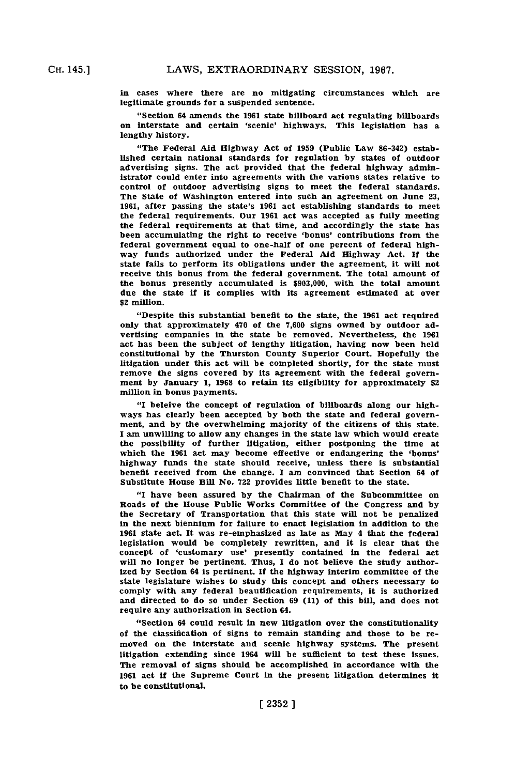in cases where there are no mitigating circumstances which are legitimate grounds for a suspended sentence.

"Section 64 amends the **1961** state billboard act regulating billboards on interstate and certain 'scenic' highways. This legislation has a lengthy history.

"The Federal Aid Highway Act of **1959** (Public Law **86-342)** established certain national standards for regulation **by** states of outdoor advertising signs. The act provided that the federal highway administrator could enter into agreements with the various states relative to control of outdoor advertising signs to meet the federal standards. The State of Washington entered Into such an agreement on June **23, 1961,** after passing the state's **1961** act establishing standards to meet the federal requirements. Our **1961** act was accepted as fully meeting the federal requirements at that time, and accordingly the state has been accumulating the right to receive 'bonus' contributions from the federal government equal to one-half of one percent of federal highway funds authorized under the Federal Aid Highway Act. **If** the state fails to perform its obligations under the agreement, it will not receive this bonus from the federal government. The total amount of the bonus presently accumulated is **\$903,000,** with the total amount due the state if it complies with its agreement estimated at over \$2 million.

"Despite this substantial benefit to the state, the **1961** act required only that approximately 470 of the **7,600** signs owned **by** outdoor advertising companies in the state be removed. Nevertheless, the **1961** act has been the subject of lengthy litigation, having now been held constitutional **by** the Thurston County Superior Court. Hopefully the litigation under this act will be completed shortly, for the state must remove the signs covered **by** its agreement with the federal government **by** January 1, **1968** to retain its eligibility for approximately \$2 million in bonus payments.

**"I** beleive the concept of regulation of billboards aiong our **high**ways has clearly been accepted **by** both the state and federal government, and **by** the overwhelming majority of the citizens of this state. **I** am unwilling to allow any changes in the state law which would create the possibility of further litigation, either postponing the time at which the **1961** act may become effective or endangering the 'bonus' highway funds the state should receive, unless there is substantial benefit received from the change. **I** am convinced that Section 64 of Substitute House Bill No. 722 provides little benefit to the state.

**<sup>I</sup>**have been assured **by** the Chairman of the Subcommittee on Roads of the House Public Works Committee of the Congress and **by** the Secretary of Transportation that this state will not be penalized in the next biennium for failure to enact legislation in addition to the 1961 state act. It was re-emphasized as late as May 4 that the federal legislation would be completely rewritten, and it is clear that the concept of 'customary use' presently contained in the federal act will no longer be pertinent. Thus, **I** do not believe the study authorized **by** Section 64 is pertinent. **If** the highway interim conunittee of the state legislature wishes to study this concept and others necessary to comply with any federal beautification requirements, it is authorized and directed to do so under Section 69 (11) of this bill, and does not require any authorization in Section 64.

"Section 64 could result in new litigation over the constitutionality of the classification of signs to remain standing and those to be removed on the interstate and scenic highway systems. The present litigation extending since 1964 will be sufficient to test these issues. The removal of signs should be accomplished in accordance with the **1961** act if the Supreme Court in the present litigation determines it to be constitutional.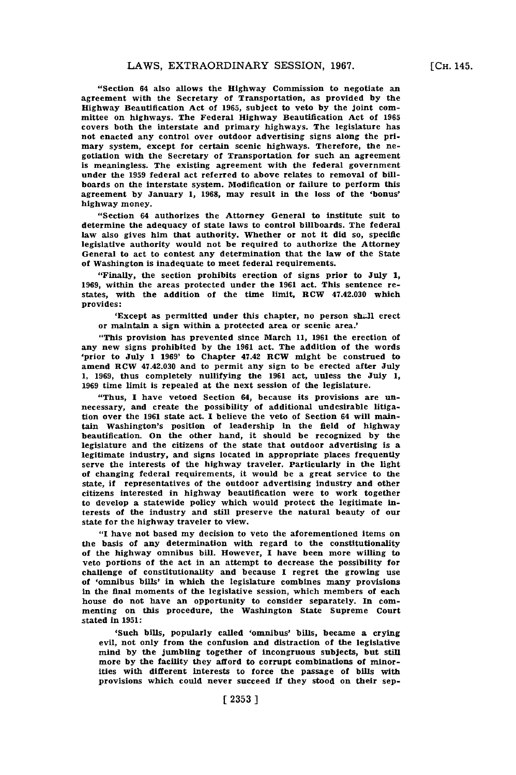**[CH.** 145.

"Section 64 also allows the Highway Commission to negotiate an agreement with the Secretary of Transportation, as provided **by** the Highway Beautification Act of **1965,** subject to veto **by** the joint committee on highways. The Federal Highway Beautification Act of **1965** covers both the interstate and primary highways. The legislature has not enacted any control over outdoor advertising signs along the primary system, except for certain scenic highways. Therefore, the negotiation with the Secretary of Transportation for such an agreement is meaningless. The existing agreement with the federal government under the **1959** federal act referred to above relates to removal of billboards on the interstate system. Modification or failure to perform this agreement **by** January **1, 1968,** may result in the loss of the 'bonus' highway money.

"Section 64 authorizes the Attorney General to institute suit to determine the adequacy of state laws to control billboards. The federal law also gives him that authority. Whether or not it did so, specific legislative authority would not be required to authorize the Attorney General to act to contest any determination that the law of the State of Washington is inadequate to meet federal requirements.

"Finally, the section prohibits erection of signs prior to July **1, 1969,** within the areas protected under the **1961** act. This sentence restates, with the addition of the time limit, HCW 47.42.030 which provides:

'Except as permitted under this chapter, no person shall erect or maintain a sign within a protected area or scenic area.'

"This provision has prevented since March **11, 1961** the erection of any new signs prohibited **by** the **1961** act. The addition of the words 'prior to July **1 1969'** to Chapter 47.42 RCW might be construed to amend RCW 47.42.030 and to permit any sign to be erected after July **1, 1969,** thus completely nullifying the **1961** act, unless the July **1, 1969** time limit is repealed at the next session of the legislature.

"Thus, **I** have vetoed Section 64, because its provisions are unnecessary, and create the possibility of additional undesirable litigation over the **1961** state act. I believe the veto of Section 64 will maintamn Washington's position of leadership in the field of highway beautification. On the other hand, it should be recognized **by** the legislature and the citizens of the state that outdoor advertising is a legitimate industry, and signs located in appropriate places frequently serve the interests of the highway traveler. Particularly in the light of changing federal requirements, it would be a great service to the state, if representatives of the outdoor advertising industry and other citizens interested in highway beautification were to work together to develop a statewide policy which would protect the legitimate interests of the industry and still preserve the natural beauty of our state for the highway traveler to view.

**"I** have not based my decision to veto the aforementioned items on the basis of any determination with regard to the constitutionality of the highway omnibus bill. However, **I** have been more willing to veto portions of the act in an attempt to decrease the possibility for challenge of constitutionality and because **I** regret the growing use of 'omnibus bills' in which the legislature combines many provisions in the final moments of the legislative session, which members of each house do not have an opportunity to consider separately. In commenting on this procedure, the Washington State Supreme Court stated in **1951:**

'Such bills, popularly called 'omnibus' bills, became a crying evil, not oniy from the confusion and distraction of the legislative mind **by** the jumbling together of incongruous subjects, but still more **by** the facility they afford to corrupt combinations of minorities with different interests to force the passage **of** bills with provisions which could never succeed if they stood on their sep-